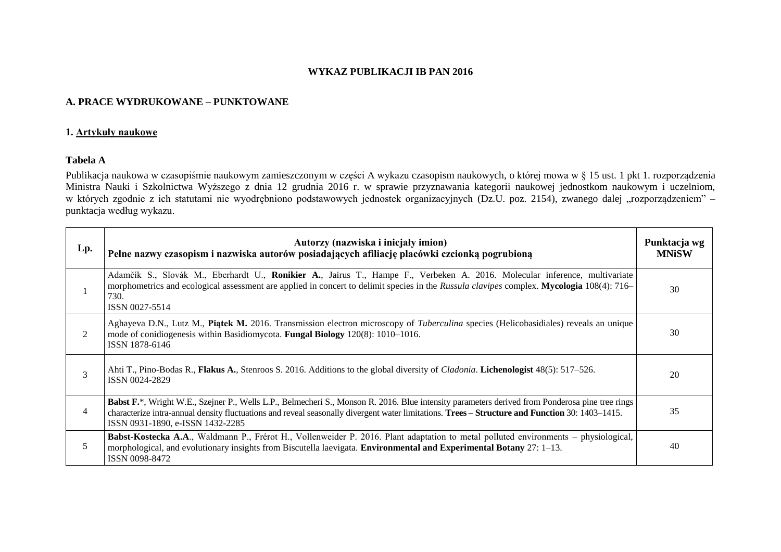## **WYKAZ PUBLIKACJI IB PAN 2016**

## **A. PRACE WYDRUKOWANE – PUNKTOWANE**

#### **1. Artykuły naukowe**

## **Tabela A**

Publikacja naukowa w czasopiśmie naukowym zamieszczonym w części A wykazu czasopism naukowych, o której mowa w § 15 ust. 1 pkt 1. rozporządzenia Ministra Nauki i Szkolnictwa Wyższego z dnia 12 grudnia 2016 r. w sprawie przyznawania kategorii naukowej jednostkom naukowym i uczelniom, w których zgodnie z ich statutami nie wyodrębniono podstawowych jednostek organizacyjnych (Dz.U. poz. 2154), zwanego dalej "rozporządzeniem" – punktacja według wykazu.

| Lp. | Autorzy (nazwiska i inicjały imion)<br>Pełne nazwy czasopism i nazwiska autorów posiadających afiliację placówki czcionką pogrubioną                                                                                                                                                                                                   | Punktacja wg<br><b>MNiSW</b> |
|-----|----------------------------------------------------------------------------------------------------------------------------------------------------------------------------------------------------------------------------------------------------------------------------------------------------------------------------------------|------------------------------|
|     | Adamčík S., Slovák M., Eberhardt U., Ronikier A., Jairus T., Hampe F., Verbeken A. 2016. Molecular inference, multivariate<br>morphometrics and ecological assessment are applied in concert to delimit species in the Russula clavipes complex. Mycologia 108(4): 716–<br>730.<br>ISSN 0027-5514                                      | 30                           |
| 2   | Aghayeva D.N., Lutz M., Piatek M. 2016. Transmission electron microscopy of Tuberculina species (Helicobasidiales) reveals an unique<br>mode of conidiogenesis within Basidiomycota. <b>Fungal Biology</b> 120(8): 1010–1016.<br>ISSN 1878-6146                                                                                        | 30                           |
| 3   | Ahti T., Pino-Bodas R., Flakus A., Stenroos S. 2016. Additions to the global diversity of <i>Cladonia</i> . Lichenologist 48(5): 517–526.<br>ISSN 0024-2829                                                                                                                                                                            | 20                           |
| 4   | Babst F.*, Wright W.E., Szejner P., Wells L.P., Belmecheri S., Monson R. 2016. Blue intensity parameters derived from Ponderosa pine tree rings<br>characterize intra-annual density fluctuations and reveal seasonally divergent water limitations. Trees - Structure and Function 30: 1403-1415.<br>ISSN 0931-1890, e-ISSN 1432-2285 | 35                           |
| 5   | Babst-Kostecka A.A., Waldmann P., Frérot H., Vollenweider P. 2016. Plant adaptation to metal polluted environments – physiological,<br>morphological, and evolutionary insights from Biscutella laevigata. Environmental and Experimental Botany 27: 1–13.<br>ISSN 0098-8472                                                           | 40                           |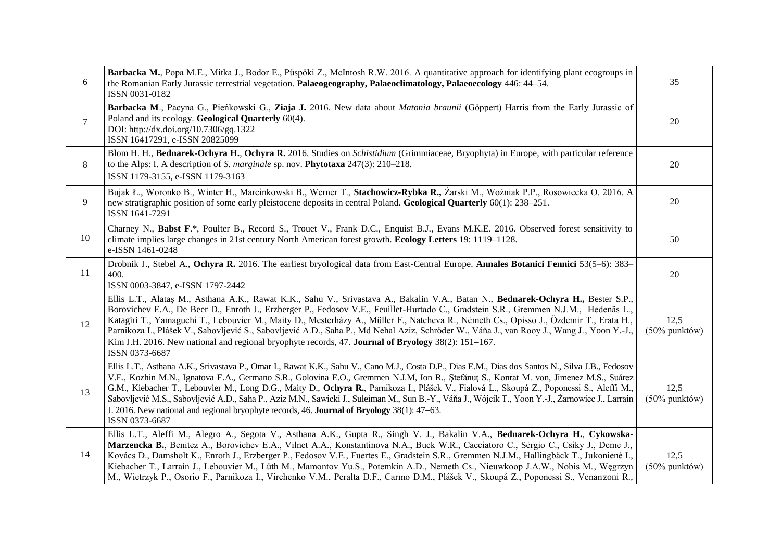| 6              | Barbacka M., Popa M.E., Mitka J., Bodor E., Püspöki Z., McIntosh R.W. 2016. A quantitative approach for identifying plant ecogroups in<br>the Romanian Early Jurassic terrestrial vegetation. Palaeogeography, Palaeoclimatology, Palaeoecology 446: 44–54.<br>ISSN 0031-0182                                                                                                                                                                                                                                                                                                                                                                                                                                  | 35                       |
|----------------|----------------------------------------------------------------------------------------------------------------------------------------------------------------------------------------------------------------------------------------------------------------------------------------------------------------------------------------------------------------------------------------------------------------------------------------------------------------------------------------------------------------------------------------------------------------------------------------------------------------------------------------------------------------------------------------------------------------|--------------------------|
| $\overline{7}$ | Barbacka M., Pacyna G., Pieńkowski G., Ziaja J. 2016. New data about <i>Matonia braunii</i> (Göppert) Harris from the Early Jurassic of<br>Poland and its ecology. Geological Quarterly 60(4).<br>DOI: http://dx.doi.org/10.7306/gq.1322<br>ISSN 16417291, e-ISSN 20825099                                                                                                                                                                                                                                                                                                                                                                                                                                     | 20                       |
| 8              | Blom H. H., Bednarek-Ochyra H., Ochyra R. 2016. Studies on Schistidium (Grimmiaceae, Bryophyta) in Europe, with particular reference<br>to the Alps: I. A description of S. marginale sp. nov. <b>Phytotaxa</b> $247(3)$ : $210-218$ .<br>ISSN 1179-3155, e-ISSN 1179-3163                                                                                                                                                                                                                                                                                                                                                                                                                                     | 20                       |
| 9              | Bujak Ł., Woronko B., Winter H., Marcinkowski B., Werner T., Stachowicz-Rybka R., Żarski M., Woźniak P.P., Rosowiecka O. 2016. A<br>new stratigraphic position of some early pleistocene deposits in central Poland. Geological Quarterly 60(1): 238–251.<br>ISSN 1641-7291                                                                                                                                                                                                                                                                                                                                                                                                                                    | 20                       |
| 10             | Charney N., Babst F.*, Poulter B., Record S., Trouet V., Frank D.C., Enquist B.J., Evans M.K.E. 2016. Observed forest sensitivity to<br>climate implies large changes in 21st century North American forest growth. Ecology Letters 19: 1119–1128.<br>e-ISSN 1461-0248                                                                                                                                                                                                                                                                                                                                                                                                                                         | 50                       |
| 11             | Drobnik J., Stebel A., Ochyra R. 2016. The earliest bryological data from East-Central Europe. Annales Botanici Fennici 53(5–6): 383–<br>400.<br>ISSN 0003-3847, e-ISSN 1797-2442                                                                                                                                                                                                                                                                                                                                                                                                                                                                                                                              | 20                       |
| 12             | Ellis L.T., Alataş M., Asthana A.K., Rawat K.K., Sahu V., Srivastava A., Bakalin V.A., Batan N., Bednarek-Ochyra H., Bester S.P.,<br>Borovichev E.A., De Beer D., Enroth J., Erzberger P., Fedosov V.E., Feuillet-Hurtado C., Gradstein S.R., Gremmen N.J.M., Hedenäs L.,<br>Katagiri T., Yamaguchi T., Lebouvier M., Maity D., Mesterházy A., Müller F., Natcheva R., Németh Cs., Opisso J., Özdemir T., Erata H.,<br>Parnikoza I., Plášek V., Sabovljević S., Sabovljević A.D., Saha P., Md Nehal Aziz, Schröder W., Váňa J., van Rooy J., Wang J., Yoon Y.-J.,<br>Kim J.H. 2016. New national and regional bryophyte records, 47. Journal of Bryology 38(2): 151–167.<br>ISSN 0373-6687                     | 12,5<br>$(50\%$ punktów) |
| 13             | Ellis L.T., Asthana A.K., Srivastava P., Omar I., Rawat K.K., Sahu V., Cano M.J., Costa D.P., Dias E.M., Dias dos Santos N., Silva J.B., Fedosov<br>V.E., Kozhin M.N., Ignatova E.A., Germano S.R., Golovina E.O., Gremmen N.J.M, Ion R., Ștefănuț S., Konrat M. von, Jimenez M.S., Suárez<br>G.M., Kiebacher T., Lebouvier M., Long D.G., Maity D., Ochyra R., Parnikoza I., Plášek V., Fialová L., Skoupá Z., Poponessi S., Aleffi M.,<br>Sabovljević M.S., Sabovljević A.D., Saha P., Aziz M.N., Sawicki J., Suleiman M., Sun B.-Y., Váňa J., Wójcik T., Yoon Y.-J., Żarnowiec J., Larraín<br>J. 2016. New national and regional bryophyte records, 46. Journal of Bryology 38(1): 47–63.<br>ISSN 0373-6687 | 12,5<br>$(50\%$ punktów) |
| 14             | Ellis L.T., Aleffi M., Alegro A., Segota V., Asthana A.K., Gupta R., Singh V. J., Bakalin V.A., Bednarek-Ochyra H., Cykowska-<br>Marzencka B., Benitez A., Borovichev E.A., Vilnet A.A., Konstantinova N.A., Buck W.R., Cacciatoro C., Sérgio C., Csiky J., Deme J.,<br>Kovács D., Damsholt K., Enroth J., Erzberger P., Fedosov V.E., Fuertes E., Gradstein S.R., Gremmen N.J.M., Hallingbäck T., Jukonienė I.,<br>Kiebacher T., Larraín J., Lebouvier M., Lüth M., Mamontov Yu.S., Potemkin A.D., Nemeth Cs., Nieuwkoop J.A.W., Nobis M., Węgrzyn<br>M., Wietrzyk P., Osorio F., Parnikoza I., Virchenko V.M., Peralta D.F., Carmo D.M., Plášek V., Skoupá Z., Poponessi S., Venanzoni R.,                   | 12,5<br>$(50\%$ punktów) |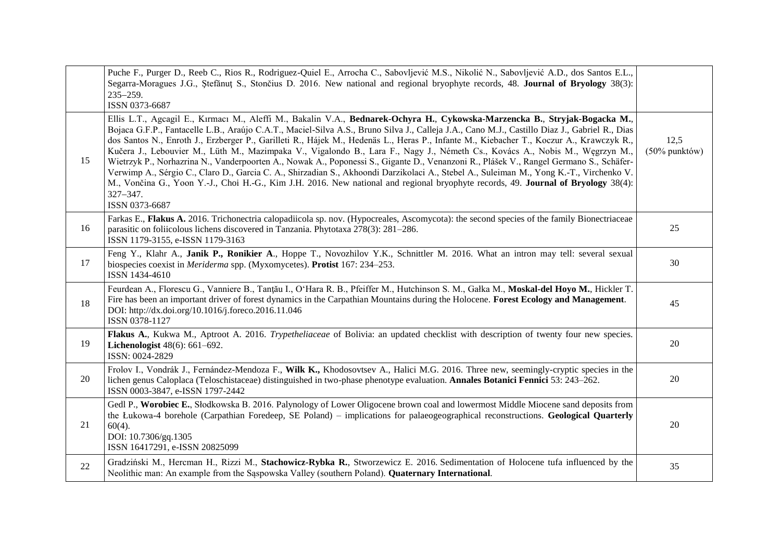|    | Puche F., Purger D., Reeb C., Rios R., Rodriguez-Quiel E., Arrocha C., Sabovljević M.S., Nikolić N., Sabovljević A.D., dos Santos E.L.,<br>Segarra-Moragues J.G., Stefănut S., Stončius D. 2016. New national and regional bryophyte records, 48. Journal of Bryology 38(3):<br>$235 - 259.$<br>ISSN 0373-6687                                                                                                                                                                                                                                                                                                                                                                                                                                                                                                                                                                                                                                                                                                       |                          |
|----|----------------------------------------------------------------------------------------------------------------------------------------------------------------------------------------------------------------------------------------------------------------------------------------------------------------------------------------------------------------------------------------------------------------------------------------------------------------------------------------------------------------------------------------------------------------------------------------------------------------------------------------------------------------------------------------------------------------------------------------------------------------------------------------------------------------------------------------------------------------------------------------------------------------------------------------------------------------------------------------------------------------------|--------------------------|
| 15 | Ellis L.T., Agcagil E., Kırmacı M., Aleffi M., Bakalin V.A., Bednarek-Ochyra H., Cykowska-Marzencka B., Stryjak-Bogacka M.,<br>Bojaca G.F.P., Fantacelle L.B., Araújo C.A.T., Maciel-Silva A.S., Bruno Silva J., Calleja J.A., Cano M.J., Castillo Diaz J., Gabriel R., Dias<br>dos Santos N., Enroth J., Erzberger P., Garilleti R., Hájek M., Hedenäs L., Heras P., Infante M., Kiebacher T., Koczur A., Krawczyk R.,<br>Kučera J., Lebouvier M., Lüth M., Mazimpaka V., Vigalondo B., Lara F., Nagy J., Németh Cs., Kovács A., Nobis M., Węgrzyn M.,<br>Wietrzyk P., Norhazrina N., Vanderpoorten A., Nowak A., Poponessi S., Gigante D., Venanzoni R., Plášek V., Rangel Germano S., Schäfer-<br>Verwimp A., Sérgio C., Claro D., Garcia C. A., Shirzadian S., Akhoondi Darzikolaci A., Stebel A., Suleiman M., Yong K.-T., Virchenko V.<br>M., Vončina G., Yoon Y.-J., Choi H.-G., Kim J.H. 2016. New national and regional bryophyte records, 49. Journal of Bryology 38(4):<br>$327 - 347.$<br>ISSN 0373-6687 | 12,5<br>$(50\%$ punktów) |
| 16 | Farkas E., Flakus A. 2016. Trichonectria calopadiicola sp. nov. (Hypocreales, Ascomycota): the second species of the family Bionectriaceae<br>parasitic on foliicolous lichens discovered in Tanzania. Phytotaxa 278(3): 281-286.<br>ISSN 1179-3155, e-ISSN 1179-3163                                                                                                                                                                                                                                                                                                                                                                                                                                                                                                                                                                                                                                                                                                                                                | 25                       |
| 17 | Feng Y., Klahr A., Janik P., Ronikier A., Hoppe T., Novozhilov Y.K., Schnittler M. 2016. What an intron may tell: several sexual<br>biospecies coexist in Meriderma spp. (Myxomycetes). Protist 167: 234-253.<br>ISSN 1434-4610                                                                                                                                                                                                                                                                                                                                                                                                                                                                                                                                                                                                                                                                                                                                                                                      | 30                       |
| 18 | Feurdean A., Florescu G., Vanniere B., Tanțău I., O'Hara R. B., Pfeiffer M., Hutchinson S. M., Gałka M., Moskal-del Hoyo M., Hickler T.<br>Fire has been an important driver of forest dynamics in the Carpathian Mountains during the Holocene. Forest Ecology and Management.<br>DOI: http://dx.doi.org/10.1016/j.foreco.2016.11.046<br>ISSN 0378-1127                                                                                                                                                                                                                                                                                                                                                                                                                                                                                                                                                                                                                                                             | 45                       |
| 19 | Flakus A., Kukwa M., Aptroot A. 2016. Trypetheliaceae of Bolivia: an updated checklist with description of twenty four new species.<br>Lichenologist 48(6): 661-692.<br>ISSN: 0024-2829                                                                                                                                                                                                                                                                                                                                                                                                                                                                                                                                                                                                                                                                                                                                                                                                                              | 20                       |
| 20 | Frolov I., Vondrák J., Fernández-Mendoza F., Wilk K., Khodosovtsev A., Halici M.G. 2016. Three new, seemingly-cryptic species in the<br>lichen genus Caloplaca (Teloschistaceae) distinguished in two-phase phenotype evaluation. Annales Botanici Fennici 53: 243-262.<br>ISSN 0003-3847, e-ISSN 1797-2442                                                                                                                                                                                                                                                                                                                                                                                                                                                                                                                                                                                                                                                                                                          | 20                       |
| 21 | Gedl P., Worobiec E., Słodkowska B. 2016. Palynology of Lower Oligocene brown coal and lowermost Middle Miocene sand deposits from<br>the Lukowa-4 borehole (Carpathian Foredeep, SE Poland) – implications for palaeogeographical reconstructions. Geological Quarterly<br>$60(4)$ .<br>DOI: 10.7306/gq.1305<br>ISSN 16417291, e-ISSN 20825099                                                                                                                                                                                                                                                                                                                                                                                                                                                                                                                                                                                                                                                                      | 20                       |
| 22 | Gradziński M., Hercman H., Rizzi M., Stachowicz-Rybka R., Stworzewicz E. 2016. Sedimentation of Holocene tufa influenced by the<br>Neolithic man: An example from the Saspowska Valley (southern Poland). Quaternary International.                                                                                                                                                                                                                                                                                                                                                                                                                                                                                                                                                                                                                                                                                                                                                                                  | 35                       |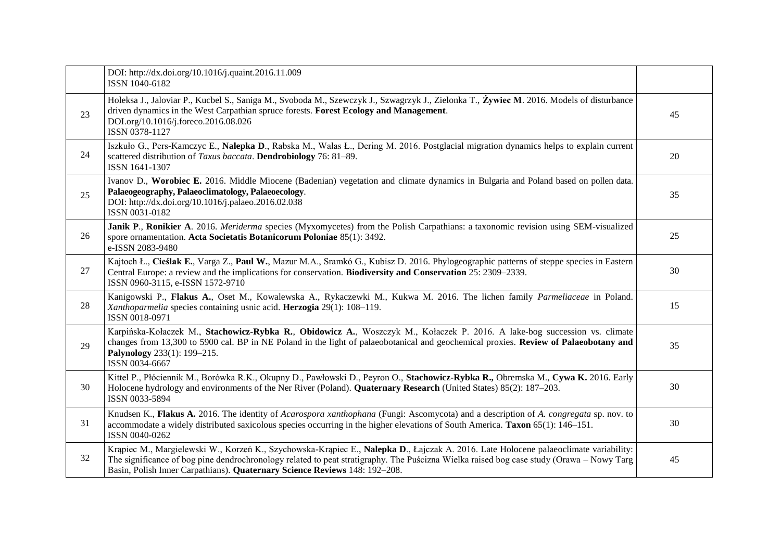|    | DOI: http://dx.doi.org/10.1016/j.quaint.2016.11.009<br>ISSN 1040-6182                                                                                                                                                                                                                                                                                          |    |
|----|----------------------------------------------------------------------------------------------------------------------------------------------------------------------------------------------------------------------------------------------------------------------------------------------------------------------------------------------------------------|----|
| 23 | Holeksa J., Jaloviar P., Kucbel S., Saniga M., Svoboda M., Szewczyk J., Szwagrzyk J., Zielonka T., Żywiec M. 2016. Models of disturbance<br>driven dynamics in the West Carpathian spruce forests. Forest Ecology and Management.<br>DOI.org/10.1016/j.foreco.2016.08.026<br>ISSN 0378-1127                                                                    | 45 |
| 24 | Iszkuło G., Pers-Kamczyc E., Nalepka D., Rabska M., Walas Ł., Dering M. 2016. Postglacial migration dynamics helps to explain current<br>scattered distribution of Taxus baccata. Dendrobiology 76: 81-89.<br>ISSN 1641-1307                                                                                                                                   | 20 |
| 25 | Ivanov D., Worobiec E. 2016. Middle Miocene (Badenian) vegetation and climate dynamics in Bulgaria and Poland based on pollen data.<br>Palaeogeography, Palaeoclimatology, Palaeoecology.<br>DOI: http://dx.doi.org/10.1016/j.palaeo.2016.02.038<br>ISSN 0031-0182                                                                                             | 35 |
| 26 | Janik P., Ronikier A. 2016. Meriderma species (Myxomycetes) from the Polish Carpathians: a taxonomic revision using SEM-visualized<br>spore ornamentation. Acta Societatis Botanicorum Poloniae 85(1): 3492.<br>e-ISSN 2083-9480                                                                                                                               | 25 |
| 27 | Kajtoch Ł., Cieślak E., Varga Z., Paul W., Mazur M.A., Sramkó G., Kubisz D. 2016. Phylogeographic patterns of steppe species in Eastern<br>Central Europe: a review and the implications for conservation. Biodiversity and Conservation 25: 2309–2339.<br>ISSN 0960-3115, e-ISSN 1572-9710                                                                    | 30 |
| 28 | Kanigowski P., Flakus A., Oset M., Kowalewska A., Rykaczewki M., Kukwa M. 2016. The lichen family Parmeliaceae in Poland.<br>Xanthoparmelia species containing usnic acid. Herzogia 29(1): 108-119.<br>ISSN 0018-0971                                                                                                                                          | 15 |
| 29 | Karpińska-Kołaczek M., Stachowicz-Rybka R., Obidowicz A., Woszczyk M., Kołaczek P. 2016. A lake-bog succession vs. climate<br>changes from 13,300 to 5900 cal. BP in NE Poland in the light of palaeobotanical and geochemical proxies. Review of Palaeobotany and<br>Palynology 233(1): 199-215.<br>ISSN 0034-6667                                            | 35 |
| 30 | Kittel P., Płóciennik M., Borówka R.K., Okupny D., Pawłowski D., Peyron O., Stachowicz-Rybka R., Obremska M., Cywa K. 2016. Early<br>Holocene hydrology and environments of the Ner River (Poland). Quaternary Research (United States) 85(2): 187-203.<br>ISSN 0033-5894                                                                                      | 30 |
| 31 | Knudsen K., Flakus A. 2016. The identity of Acarospora xanthophana (Fungi: Ascomycota) and a description of A. congregata sp. nov. to<br>accommodate a widely distributed saxicolous species occurring in the higher elevations of South America. Taxon 65(1): 146–151.<br>ISSN 0040-0262                                                                      | 30 |
| 32 | Krąpiec M., Margielewski W., Korzeń K., Szychowska-Krąpiec E., Nalepka D., Łajczak A. 2016. Late Holocene palaeoclimate variability:<br>The significance of bog pine dendrochronology related to peat stratigraphy. The Puścizna Wielka raised bog case study (Orawa – Nowy Targ<br>Basin, Polish Inner Carpathians). Quaternary Science Reviews 148: 192-208. | 45 |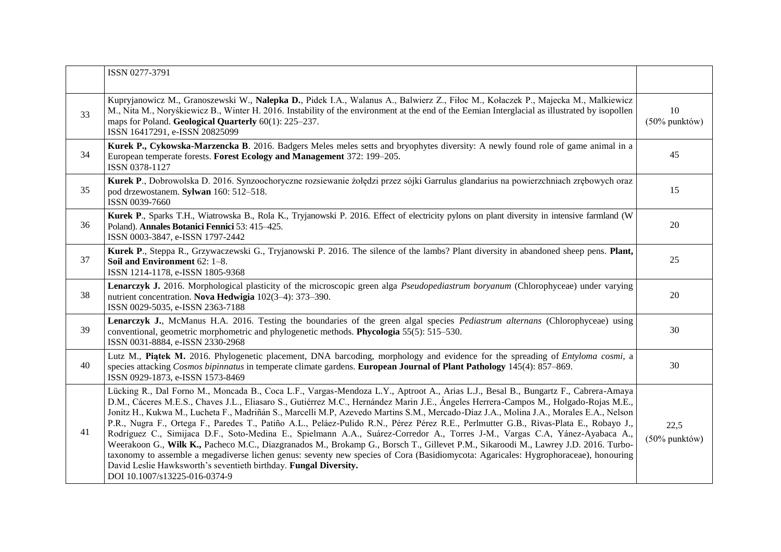|    | ISSN 0277-3791                                                                                                                                                                                                                                                                                                                                                                                                                                                                                                                                                                                                                                                                                                                                                                                                                                                                                                                                                                                                                                                                 |                        |
|----|--------------------------------------------------------------------------------------------------------------------------------------------------------------------------------------------------------------------------------------------------------------------------------------------------------------------------------------------------------------------------------------------------------------------------------------------------------------------------------------------------------------------------------------------------------------------------------------------------------------------------------------------------------------------------------------------------------------------------------------------------------------------------------------------------------------------------------------------------------------------------------------------------------------------------------------------------------------------------------------------------------------------------------------------------------------------------------|------------------------|
| 33 | Kupryjanowicz M., Granoszewski W., Nalepka D., Pidek I.A., Walanus A., Balwierz Z., Fiłoc M., Kołaczek P., Majecka M., Malkiewicz<br>M., Nita M., Noryśkiewicz B., Winter H. 2016. Instability of the environment at the end of the Eemian Interglacial as illustrated by isopollen<br>maps for Poland. Geological Quarterly 60(1): 225–237.<br>ISSN 16417291, e-ISSN 20825099                                                                                                                                                                                                                                                                                                                                                                                                                                                                                                                                                                                                                                                                                                 | 10<br>$(50\%$ punktów) |
| 34 | Kurek P., Cykowska-Marzencka B. 2016. Badgers Meles meles setts and bryophytes diversity: A newly found role of game animal in a<br>European temperate forests. Forest Ecology and Management 372: 199-205.<br>ISSN 0378-1127                                                                                                                                                                                                                                                                                                                                                                                                                                                                                                                                                                                                                                                                                                                                                                                                                                                  | 45                     |
| 35 | Kurek P., Dobrowolska D. 2016. Synzoochoryczne rozsiewanie żołędzi przez sójki Garrulus glandarius na powierzchniach zrębowych oraz<br>pod drzewostanem. Sylwan 160: 512-518.<br>ISSN 0039-7660                                                                                                                                                                                                                                                                                                                                                                                                                                                                                                                                                                                                                                                                                                                                                                                                                                                                                | 15                     |
| 36 | Kurek P., Sparks T.H., Wiatrowska B., Rola K., Tryjanowski P. 2016. Effect of electricity pylons on plant diversity in intensive farmland (W<br>Poland). Annales Botanici Fennici 53: 415-425.<br>ISSN 0003-3847, e-ISSN 1797-2442                                                                                                                                                                                                                                                                                                                                                                                                                                                                                                                                                                                                                                                                                                                                                                                                                                             | 20                     |
| 37 | Kurek P., Steppa R., Grzywaczewski G., Tryjanowski P. 2016. The silence of the lambs? Plant diversity in abandoned sheep pens. Plant,<br>Soil and Environment 62: 1-8.<br>ISSN 1214-1178, e-ISSN 1805-9368                                                                                                                                                                                                                                                                                                                                                                                                                                                                                                                                                                                                                                                                                                                                                                                                                                                                     | 25                     |
| 38 | Lenarczyk J. 2016. Morphological plasticity of the microscopic green alga <i>Pseudopediastrum boryanum</i> (Chlorophyceae) under varying<br>nutrient concentration. Nova Hedwigia 102(3-4): 373-390.<br>ISSN 0029-5035, e-ISSN 2363-7188                                                                                                                                                                                                                                                                                                                                                                                                                                                                                                                                                                                                                                                                                                                                                                                                                                       | 20                     |
| 39 | Lenarczyk J., McManus H.A. 2016. Testing the boundaries of the green algal species <i>Pediastrum alternans</i> (Chlorophyceae) using<br>conventional, geometric morphometric and phylogenetic methods. Phycologia 55(5): 515–530.<br>ISSN 0031-8884, e-ISSN 2330-2968                                                                                                                                                                                                                                                                                                                                                                                                                                                                                                                                                                                                                                                                                                                                                                                                          | 30                     |
| 40 | Lutz M., Piatek M. 2016. Phylogenetic placement, DNA barcoding, morphology and evidence for the spreading of Entyloma cosmi, a<br>species attacking Cosmos bipinnatus in temperate climate gardens. European Journal of Plant Pathology 145(4): 857–869.<br>ISSN 0929-1873, e-ISSN 1573-8469                                                                                                                                                                                                                                                                                                                                                                                                                                                                                                                                                                                                                                                                                                                                                                                   | 30                     |
| 41 | Lücking R., Dal Forno M., Moncada B., Coca L.F., Vargas-Mendoza L.Y., Aptroot A., Arias L.J., Besal B., Bungartz F., Cabrera-Amaya<br>D.M., Cáceres M.E.S., Chaves J.L., Eliasaro S., Gutiérrez M.C., Hernández Marin J.E., Ángeles Herrera-Campos M., Holgado-Rojas M.E.,<br>Jonitz H., Kukwa M., Lucheta F., Madriñán S., Marcelli M.P, Azevedo Martins S.M., Mercado-Díaz J.A., Molina J.A., Morales E.A., Nelson<br>P.R., Nugra F., Ortega F., Paredes T., Patiño A.L., Peláez-Pulido R.N., Pérez Pérez R.E., Perlmutter G.B., Rivas-Plata E., Robayo J.,<br>Rodríguez C., Simijaca D.F., Soto-Medina E., Spielmann A.A., Suárez-Corredor A., Torres J-M., Vargas C.A, Yánez-Ayabaca A.,<br>Weerakoon G., Wilk K., Pacheco M.C., Diazgranados M., Brokamp G., Borsch T., Gillevet P.M., Sikaroodi M., Lawrey J.D. 2016. Turbo-<br>taxonomy to assemble a megadiverse lichen genus: seventy new species of Cora (Basidiomycota: Agaricales: Hygrophoraceae), honouring<br>David Leslie Hawksworth's seventieth birthday. Fungal Diversity.<br>DOI 10.1007/s13225-016-0374-9 | 22,5<br>(50% punktów)  |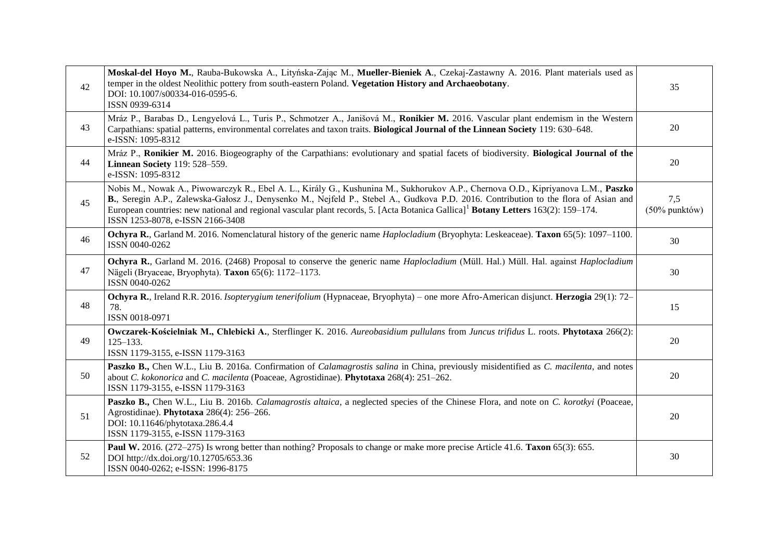| 42 | Moskal-del Hoyo M., Rauba-Bukowska A., Lityńska-Zając M., Mueller-Bieniek A., Czekaj-Zastawny A. 2016. Plant materials used as<br>temper in the oldest Neolithic pottery from south-eastern Poland. Vegetation History and Archaeobotany.<br>DOI: 10.1007/s00334-016-0595-6.<br>ISSN 0939-6314                                                                                                                                                                 | 35                      |
|----|----------------------------------------------------------------------------------------------------------------------------------------------------------------------------------------------------------------------------------------------------------------------------------------------------------------------------------------------------------------------------------------------------------------------------------------------------------------|-------------------------|
| 43 | Mráz P., Barabas D., Lengyelová L., Turis P., Schmotzer A., Janišová M., Ronikier M. 2016. Vascular plant endemism in the Western<br>Carpathians: spatial patterns, environmental correlates and taxon traits. Biological Journal of the Linnean Society 119: 630–648.<br>e-ISSN: 1095-8312                                                                                                                                                                    | 20                      |
| 44 | Mráz P., Ronikier M. 2016. Biogeography of the Carpathians: evolutionary and spatial facets of biodiversity. Biological Journal of the<br>Linnean Society 119: 528-559.<br>e-ISSN: 1095-8312                                                                                                                                                                                                                                                                   | 20                      |
| 45 | Nobis M., Nowak A., Piwowarczyk R., Ebel A. L., Király G., Kushunina M., Sukhorukov A.P., Chernova O.D., Kipriyanova L.M., Paszko<br>B., Seregin A.P., Zalewska-Gałosz J., Denysenko M., Nejfeld P., Stebel A., Gudkova P.D. 2016. Contribution to the flora of Asian and<br>European countries: new national and regional vascular plant records, 5. [Acta Botanica Gallica] <sup>1</sup> Botany Letters 163(2): 159–174.<br>ISSN 1253-8078, e-ISSN 2166-3408 | 7,5<br>$(50\%$ punktów) |
| 46 | Ochyra R., Garland M. 2016. Nomenclatural history of the generic name Haplocladium (Bryophyta: Leskeaceae). Taxon 65(5): 1097-1100.<br>ISSN 0040-0262                                                                                                                                                                                                                                                                                                          | 30                      |
| 47 | Ochyra R., Garland M. 2016. (2468) Proposal to conserve the generic name Haplocladium (Müll. Hal.) Müll. Hal. against Haplocladium<br>Nägeli (Bryaceae, Bryophyta). Taxon 65(6): 1172-1173.<br>ISSN 0040-0262                                                                                                                                                                                                                                                  | 30                      |
| 48 | Ochyra R., Ireland R.R. 2016. Isopterygium tenerifolium (Hypnaceae, Bryophyta) – one more Afro-American disjunct. Herzogia 29(1): 72–<br>78.<br>ISSN 0018-0971                                                                                                                                                                                                                                                                                                 | 15                      |
| 49 | Owczarek-Kościelniak M., Chlebicki A., Sterflinger K. 2016. Aureobasidium pullulans from Juncus trifidus L. roots. Phytotaxa 266(2):<br>$125 - 133.$<br>ISSN 1179-3155, e-ISSN 1179-3163                                                                                                                                                                                                                                                                       | 20                      |
| 50 | Paszko B., Chen W.L., Liu B. 2016a. Confirmation of <i>Calamagrostis salina</i> in China, previously misidentified as <i>C. macilenta</i> , and notes<br>about C. kokonorica and C. macilenta (Poaceae, Agrostidinae). Phytotaxa 268(4): 251-262.<br>ISSN 1179-3155, e-ISSN 1179-3163                                                                                                                                                                          | 20                      |
| 51 | Paszko B., Chen W.L., Liu B. 2016b. Calamagrostis altaica, a neglected species of the Chinese Flora, and note on C. korotkyi (Poaceae,<br>Agrostidinae). Phytotaxa 286(4): 256-266.<br>DOI: 10.11646/phytotaxa.286.4.4<br>ISSN 1179-3155, e-ISSN 1179-3163                                                                                                                                                                                                     | 20                      |
| 52 | Paul W. 2016. (272–275) Is wrong better than nothing? Proposals to change or make more precise Article 41.6. Taxon 65(3): 655.<br>DOI http://dx.doi.org/10.12705/653.36<br>ISSN 0040-0262; e-ISSN: 1996-8175                                                                                                                                                                                                                                                   | 30                      |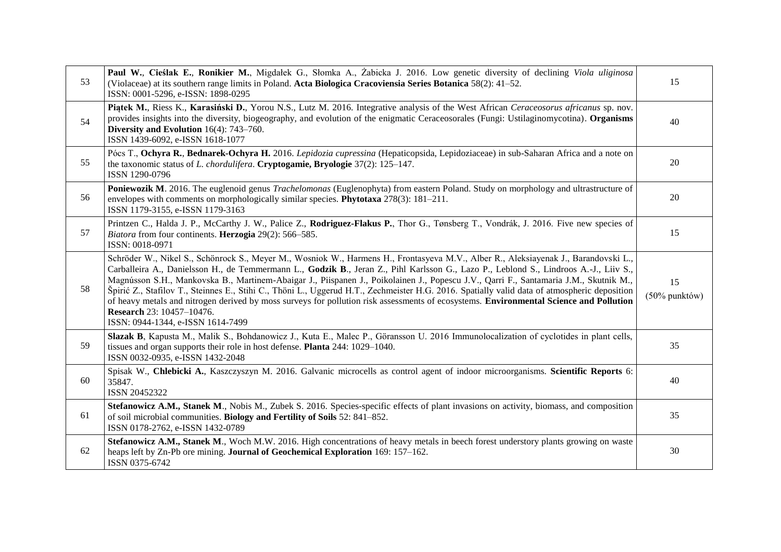| 53 | Paul W., Cieślak E., Ronikier M., Migdałek G., Słomka A., Żabicka J. 2016. Low genetic diversity of declining Viola uliginosa<br>(Violaceae) at its southern range limits in Poland. Acta Biologica Cracoviensia Series Botanica 58(2): 41–52.<br>ISSN: 0001-5296, e-ISSN: 1898-0295                                                                                                                                                                                                                                                                                                                                                                                                                                                                                              | 15                     |
|----|-----------------------------------------------------------------------------------------------------------------------------------------------------------------------------------------------------------------------------------------------------------------------------------------------------------------------------------------------------------------------------------------------------------------------------------------------------------------------------------------------------------------------------------------------------------------------------------------------------------------------------------------------------------------------------------------------------------------------------------------------------------------------------------|------------------------|
| 54 | Piątek M., Riess K., Karasiński D., Yorou N.S., Lutz M. 2016. Integrative analysis of the West African Ceraceosorus africanus sp. nov.<br>provides insights into the diversity, biogeography, and evolution of the enigmatic Ceraceosorales (Fungi: Ustilaginomycotina). Organisms<br>Diversity and Evolution $16(4)$ : 743-760.<br>ISSN 1439-6092, e-ISSN 1618-1077                                                                                                                                                                                                                                                                                                                                                                                                              | 40                     |
| 55 | Pócs T., Ochyra R., Bednarek-Ochyra H. 2016. Lepidozia cupressina (Hepaticopsida, Lepidoziaceae) in sub-Saharan Africa and a note on<br>the taxonomic status of <i>L. chordulifera</i> . Cryptogamie, Bryologie 37(2): 125–147.<br>ISSN 1290-0796                                                                                                                                                                                                                                                                                                                                                                                                                                                                                                                                 | 20                     |
| 56 | Poniewozik M. 2016. The euglenoid genus Trachelomonas (Euglenophyta) from eastern Poland. Study on morphology and ultrastructure of<br>envelopes with comments on morphologically similar species. Phytotaxa 278(3): 181-211.<br>ISSN 1179-3155, e-ISSN 1179-3163                                                                                                                                                                                                                                                                                                                                                                                                                                                                                                                 | 20                     |
| 57 | Printzen C., Halda J. P., McCarthy J. W., Palice Z., Rodriguez-Flakus P., Thor G., Tønsberg T., Vondrák, J. 2016. Five new species of<br>Biatora from four continents. Herzogia 29(2): 566-585.<br>ISSN: 0018-0971                                                                                                                                                                                                                                                                                                                                                                                                                                                                                                                                                                | 15                     |
| 58 | Schröder W., Nikel S., Schönrock S., Meyer M., Wosniok W., Harmens H., Frontasyeva M.V., Alber R., Aleksiayenak J., Barandovski L.,<br>Carballeira A., Danielsson H., de Temmermann L., Godzik B., Jeran Z., Pihl Karlsson G., Lazo P., Leblond S., Lindroos A.-J., Liiv S.,<br>Magnússon S.H., Mankovska B., Martinem-Abaigar J., Piispanen J., Poikolainen J., Popescu J.V., Qarri F., Santamaria J.M., Skutnik M.,<br>Špirić Z., Stafilov T., Steinnes E., Stihi C., Thöni L., Uggerud H.T., Zechmeister H.G. 2016. Spatially valid data of atmospheric deposition<br>of heavy metals and nitrogen derived by moss surveys for pollution risk assessments of ecosystems. Environmental Science and Pollution<br>Research 23: 10457-10476.<br>ISSN: 0944-1344, e-ISSN 1614-7499 | 15<br>$(50\%$ punktów) |
| 59 | Slazak B, Kapusta M., Malik S., Bohdanowicz J., Kuta E., Malec P., Göransson U. 2016 Immunolocalization of cyclotides in plant cells,<br>tissues and organ supports their role in host defense. Planta 244: 1029–1040.<br>ISSN 0032-0935, e-ISSN 1432-2048                                                                                                                                                                                                                                                                                                                                                                                                                                                                                                                        | 35                     |
| 60 | Spisak W., Chlebicki A., Kaszczyszyn M. 2016. Galvanic microcells as control agent of indoor microorganisms. Scientific Reports 6:<br>35847.<br>ISSN 20452322                                                                                                                                                                                                                                                                                                                                                                                                                                                                                                                                                                                                                     | 40                     |
| 61 | Stefanowicz A.M., Stanek M., Nobis M., Zubek S. 2016. Species-specific effects of plant invasions on activity, biomass, and composition<br>of soil microbial communities. Biology and Fertility of Soils 52: 841-852.<br>ISSN 0178-2762, e-ISSN 1432-0789                                                                                                                                                                                                                                                                                                                                                                                                                                                                                                                         | 35                     |
| 62 | Stefanowicz A.M., Stanek M., Woch M.W. 2016. High concentrations of heavy metals in beech forest understory plants growing on waste<br>heaps left by Zn-Pb ore mining. Journal of Geochemical Exploration 169: 157-162.<br>ISSN 0375-6742                                                                                                                                                                                                                                                                                                                                                                                                                                                                                                                                         | 30                     |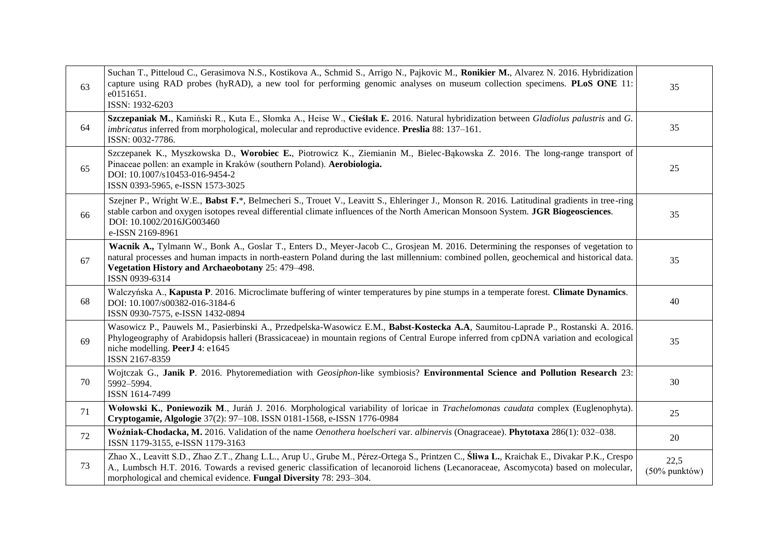| 63 | Suchan T., Pitteloud C., Gerasimova N.S., Kostikova A., Schmid S., Arrigo N., Pajkovic M., Ronikier M., Alvarez N. 2016. Hybridization<br>capture using RAD probes (hyRAD), a new tool for performing genomic analyses on museum collection specimens. PLoS ONE 11:<br>e0151651.<br>ISSN: 1932-6203                                                      | 35                       |
|----|----------------------------------------------------------------------------------------------------------------------------------------------------------------------------------------------------------------------------------------------------------------------------------------------------------------------------------------------------------|--------------------------|
| 64 | Szczepaniak M., Kamiński R., Kuta E., Słomka A., Heise W., Cieślak E. 2016. Natural hybridization between Gladiolus palustris and G.<br>imbricatus inferred from morphological, molecular and reproductive evidence. Preslia 88: 137-161.<br>ISSN: 0032-7786.                                                                                            | 35                       |
| 65 | Szczepanek K., Myszkowska D., Worobiec E., Piotrowicz K., Ziemianin M., Bielec-Bakowska Z. 2016. The long-range transport of<br>Pinaceae pollen: an example in Kraków (southern Poland). Aerobiologia.<br>DOI: 10.1007/s10453-016-9454-2<br>ISSN 0393-5965, e-ISSN 1573-3025                                                                             | 25                       |
| 66 | Szejner P., Wright W.E., Babst F.*, Belmecheri S., Trouet V., Leavitt S., Ehleringer J., Monson R. 2016. Latitudinal gradients in tree-ring<br>stable carbon and oxygen isotopes reveal differential climate influences of the North American Monsoon System. JGR Biogeosciences.<br>DOI: 10.1002/2016JG003460<br>e-ISSN 2169-8961                       | 35                       |
| 67 | Wacnik A., Tylmann W., Bonk A., Goslar T., Enters D., Meyer-Jacob C., Grosjean M. 2016. Determining the responses of vegetation to<br>natural processes and human impacts in north-eastern Poland during the last millennium: combined pollen, geochemical and historical data.<br>Vegetation History and Archaeobotany 25: 479-498.<br>ISSN 0939-6314   | 35                       |
| 68 | Walczyńska A., Kapusta P. 2016. Microclimate buffering of winter temperatures by pine stumps in a temperate forest. Climate Dynamics.<br>DOI: 10.1007/s00382-016-3184-6<br>ISSN 0930-7575, e-ISSN 1432-0894                                                                                                                                              | 40                       |
| 69 | Wasowicz P., Pauwels M., Pasierbinski A., Przedpelska-Wasowicz E.M., Babst-Kostecka A.A, Saumitou-Laprade P., Rostanski A. 2016.<br>Phylogeography of Arabidopsis halleri (Brassicaceae) in mountain regions of Central Europe inferred from cpDNA variation and ecological<br>niche modelling. PeerJ 4: e1645<br>ISSN 2167-8359                         | 35                       |
| 70 | Wojtczak G., Janik P. 2016. Phytoremediation with Geosiphon-like symbiosis? Environmental Science and Pollution Research 23:<br>5992-5994.<br>ISSN 1614-7499                                                                                                                                                                                             | 30                       |
| 71 | Wołowski K., Poniewozik M., Juráň J. 2016. Morphological variability of loricae in Trachelomonas caudata complex (Euglenophyta).<br>Cryptogamie, Algologie 37(2): 97-108. ISSN 0181-1568, e-ISSN 1776-0984                                                                                                                                               | 25                       |
| 72 | Woźniak-Chodacka, M. 2016. Validation of the name Oenothera hoelscheri var. albinervis (Onagraceae). Phytotaxa 286(1): 032–038.<br>ISSN 1179-3155, e-ISSN 1179-3163                                                                                                                                                                                      | 20                       |
| 73 | Zhao X., Leavitt S.D., Zhao Z.T., Zhang L.L., Arup U., Grube M., Pérez-Ortega S., Printzen C., Sliwa L., Kraichak E., Divakar P.K., Crespo<br>A., Lumbsch H.T. 2016. Towards a revised generic classification of lecanoroid lichens (Lecanoraceae, Ascomycota) based on molecular,<br>morphological and chemical evidence. Fungal Diversity 78: 293-304. | 22,5<br>$(50\%$ punktów) |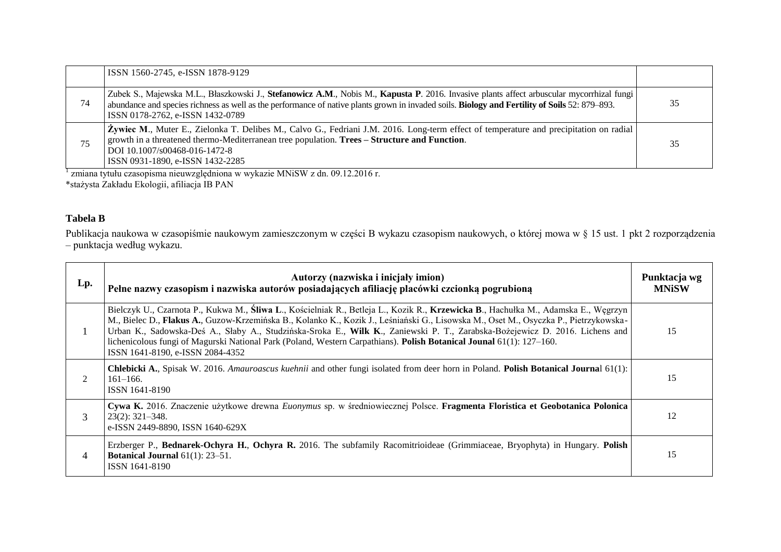|    | ISSN 1560-2745, e-ISSN 1878-9129                                                                                                                                                                                                                                                                                                       |    |
|----|----------------------------------------------------------------------------------------------------------------------------------------------------------------------------------------------------------------------------------------------------------------------------------------------------------------------------------------|----|
| 74 | Zubek S., Majewska M.L., Błaszkowski J., Stefanowicz A.M., Nobis M., Kapusta P. 2016. Invasive plants affect arbuscular mycorrhizal fungi<br>abundance and species richness as well as the performance of native plants grown in invaded soils. <b>Biology and Fertility of Soils</b> 52: 879–893.<br>ISSN 0178-2762, e-ISSN 1432-0789 | 35 |
| 75 | Zywiec M., Muter E., Zielonka T. Delibes M., Calvo G., Fedriani J.M. 2016. Long-term effect of temperature and precipitation on radial<br>growth in a threatened thermo-Mediterranean tree population. Trees – Structure and Function.<br>DOI 10.1007/s00468-016-1472-8<br>ISSN 0931-1890, e-ISSN 1432-2285                            | 35 |

1 zmiana tytułu czasopisma nieuwzględniona w wykazie MNiSW z dn. 09.12.2016 r. \*stażysta Zakładu Ekologii, afiliacja IB PAN

## **Tabela B**

Publikacja naukowa w czasopiśmie naukowym zamieszczonym w części B wykazu czasopism naukowych, o której mowa w § 15 ust. 1 pkt 2 rozporządzenia – punktacja według wykazu.

| Lp.            | Autorzy (nazwiska i inicjały imion)<br>Pełne nazwy czasopism i nazwiska autorów posiadających afiliację placówki czcionką pogrubioną                                                                                                                                                                                                                                                                                                                                                                                                                                   | Punktacja wg<br><b>MNiSW</b> |
|----------------|------------------------------------------------------------------------------------------------------------------------------------------------------------------------------------------------------------------------------------------------------------------------------------------------------------------------------------------------------------------------------------------------------------------------------------------------------------------------------------------------------------------------------------------------------------------------|------------------------------|
| 1              | Bielczyk U., Czarnota P., Kukwa M., Śliwa L., Kościelniak R., Betleja L., Kozik R., Krzewicka B., Hachułka M., Adamska E., Węgrzyn<br>M., Bielec D., Flakus A., Guzow-Krzemińska B., Kolanko K., Kozik J., Leśniański G., Lisowska M., Oset M., Osyczka P., Pietrzykowska-<br>Urban K., Sadowska-Deś A., Słaby A., Studzińska-Sroka E., Wilk K., Zaniewski P. T., Zarabska-Bożejewicz D. 2016. Lichens and<br>lichenicolous fungi of Magurski National Park (Poland, Western Carpathians). Polish Botanical Jounal 61(1): 127–160.<br>ISSN 1641-8190, e-ISSN 2084-4352 | 15                           |
| $\mathfrak{D}$ | <b>Chlebicki A.</b> , Spisak W. 2016. Amauroascus kuehnii and other fungi isolated from deer horn in Poland. Polish Botanical Journal 61(1):<br>$161 - 166.$<br>ISSN 1641-8190                                                                                                                                                                                                                                                                                                                                                                                         | 15                           |
| 3              | Cywa K. 2016. Znaczenie użytkowe drewna Euonymus sp. w średniowiecznej Polsce. Fragmenta Floristica et Geobotanica Polonica<br>$23(2): 321 - 348.$<br>e-ISSN 2449-8890, ISSN 1640-629X                                                                                                                                                                                                                                                                                                                                                                                 | 12                           |
| 4              | Erzberger P., Bednarek-Ochyra H., Ochyra R. 2016. The subfamily Racomitrioideae (Grimmiaceae, Bryophyta) in Hungary. Polish<br>Botanical Journal $61(1)$ : 23-51.<br>ISSN 1641-8190                                                                                                                                                                                                                                                                                                                                                                                    | 15                           |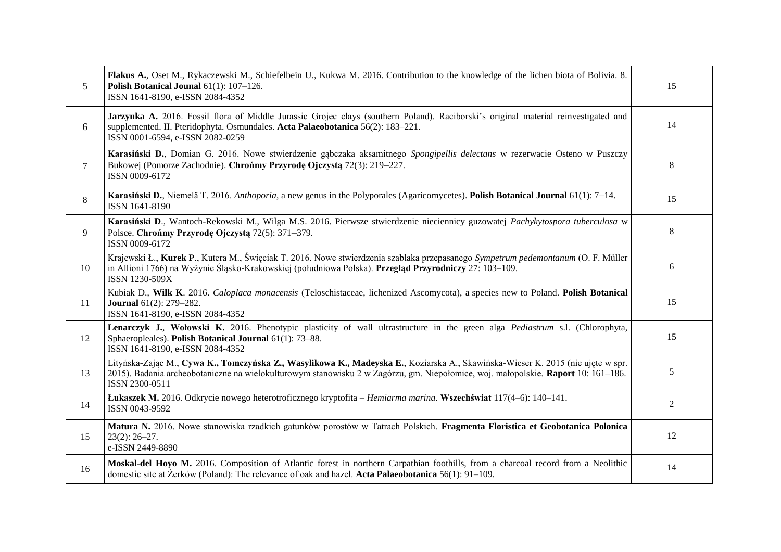| 5      | Flakus A., Oset M., Rykaczewski M., Schiefelbein U., Kukwa M. 2016. Contribution to the knowledge of the lichen biota of Bolivia. 8.<br>Polish Botanical Jounal 61(1): 107-126.<br>ISSN 1641-8190, e-ISSN 2084-4352                                                                    | 15 |
|--------|----------------------------------------------------------------------------------------------------------------------------------------------------------------------------------------------------------------------------------------------------------------------------------------|----|
| 6      | Jarzynka A. 2016. Fossil flora of Middle Jurassic Grojec clays (southern Poland). Raciborski's original material reinvestigated and<br>supplemented. II. Pteridophyta. Osmundales. Acta Palaeobotanica 56(2): 183-221.<br>ISSN 0001-6594, e-ISSN 2082-0259                             | 14 |
| $\tau$ | Karasiński D., Domian G. 2016. Nowe stwierdzenie gąbczaka aksamitnego Spongipellis delectans w rezerwacie Osteno w Puszczy<br>Bukowej (Pomorze Zachodnie). Chrońmy Przyrodę Ojczystą 72(3): 219–227.<br>ISSN 0009-6172                                                                 | 8  |
| 8      | Karasiński D., Niemelä T. 2016. Anthoporia, a new genus in the Polyporales (Agaricomycetes). Polish Botanical Journal 61(1): 7–14.<br>ISSN 1641-8190                                                                                                                                   | 15 |
| 9      | Karasiński D., Wantoch-Rekowski M., Wilga M.S. 2016. Pierwsze stwierdzenie nieciennicy guzowatej Pachykytospora tuberculosa w<br>Polsce. Chrońmy Przyrodę Ojczystą 72(5): 371–379.<br>ISSN 0009-6172                                                                                   | 8  |
| 10     | Krajewski Ł., Kurek P., Kutera M., Święciak T. 2016. Nowe stwierdzenia szablaka przepasanego Sympetrum pedemontanum (O. F. Müller<br>in Allioni 1766) na Wyżynie Śląsko-Krakowskiej (południowa Polska). Przegląd Przyrodniczy 27: 103–109.<br>ISSN 1230-509X                          | 6  |
| 11     | Kubiak D., Wilk K. 2016. Caloplaca monacensis (Teloschistaceae, lichenized Ascomycota), a species new to Poland. Polish Botanical<br><b>Journal</b> 61(2): 279-282.<br>ISSN 1641-8190, e-ISSN 2084-4352                                                                                | 15 |
| 12     | Lenarczyk J., Wołowski K. 2016. Phenotypic plasticity of wall ultrastructure in the green alga Pediastrum s.l. (Chlorophyta,<br>Sphaeropleales). Polish Botanical Journal 61(1): 73-88.<br>ISSN 1641-8190, e-ISSN 2084-4352                                                            | 15 |
| 13     | Lityńska-Zając M., Cywa K., Tomczyńska Z., Wasylikowa K., Madeyska E., Koziarska A., Skawińska-Wieser K. 2015 (nie ujęte w spr.<br>2015). Badania archeobotaniczne na wielokulturowym stanowisku 2 w Zagórzu, gm. Niepołomice, woj. małopolskie. Raport 10: 161–186.<br>ISSN 2300-0511 | 5  |
| 14     | Lukaszek M. 2016. Odkrycie nowego heterotroficznego kryptofita – Hemiarma marina. Wszechświat 117(4–6): 140–141.<br>ISSN 0043-9592                                                                                                                                                     | 2  |
| 15     | Matura N. 2016. Nowe stanowiska rzadkich gatunków porostów w Tatrach Polskich. Fragmenta Floristica et Geobotanica Polonica<br>$23(2): 26 - 27.$<br>e-ISSN 2449-8890                                                                                                                   | 12 |
| 16     | Moskal-del Hoyo M. 2016. Composition of Atlantic forest in northern Carpathian foothills, from a charcoal record from a Neolithic<br>domestic site at Żerków (Poland): The relevance of oak and hazel. Acta Palaeobotanica 56(1): 91-109.                                              | 14 |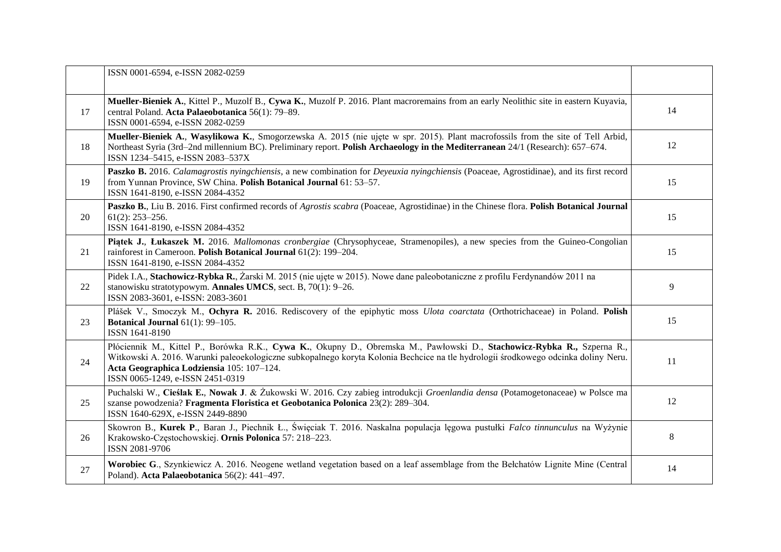|    | ISSN 0001-6594, e-ISSN 2082-0259                                                                                                                                                                                                                                                                                                               |    |
|----|------------------------------------------------------------------------------------------------------------------------------------------------------------------------------------------------------------------------------------------------------------------------------------------------------------------------------------------------|----|
| 17 | Mueller-Bieniek A., Kittel P., Muzolf B., Cywa K., Muzolf P. 2016. Plant macroremains from an early Neolithic site in eastern Kuyavia,<br>central Poland. Acta Palaeobotanica 56(1): 79-89.<br>ISSN 0001-6594, e-ISSN 2082-0259                                                                                                                | 14 |
| 18 | Mueller-Bieniek A., Wasylikowa K., Smogorzewska A. 2015 (nie ujęte w spr. 2015). Plant macrofossils from the site of Tell Arbid,<br>Northeast Syria (3rd-2nd millennium BC). Preliminary report. Polish Archaeology in the Mediterranean 24/1 (Research): 657-674.<br>ISSN 1234-5415, e-ISSN 2083-537X                                         | 12 |
| 19 | Paszko B. 2016. Calamagrostis nyingchiensis, a new combination for Deyeuxia nyingchiensis (Poaceae, Agrostidinae), and its first record<br>from Yunnan Province, SW China. Polish Botanical Journal 61: 53-57.<br>ISSN 1641-8190, e-ISSN 2084-4352                                                                                             | 15 |
| 20 | Paszko B., Liu B. 2016. First confirmed records of Agrostis scabra (Poaceae, Agrostidinae) in the Chinese flora. Polish Botanical Journal<br>$61(2): 253 - 256.$<br>ISSN 1641-8190, e-ISSN 2084-4352                                                                                                                                           | 15 |
| 21 | Piątek J., Łukaszek M. 2016. Mallomonas cronbergiae (Chrysophyceae, Stramenopiles), a new species from the Guineo-Congolian<br>rainforest in Cameroon. Polish Botanical Journal 61(2): 199-204.<br>ISSN 1641-8190, e-ISSN 2084-4352                                                                                                            | 15 |
| 22 | Pidek I.A., Stachowicz-Rybka R., Żarski M. 2015 (nie ujęte w 2015). Nowe dane paleobotaniczne z profilu Ferdynandów 2011 na<br>stanowisku stratotypowym. Annales UMCS, sect. B, 70(1): 9-26.<br>ISSN 2083-3601, e-ISSN: 2083-3601                                                                                                              | 9  |
| 23 | Plášek V., Smoczyk M., Ochyra R. 2016. Rediscovery of the epiphytic moss Ulota coarctata (Orthotrichaceae) in Poland. Polish<br>Botanical Journal $61(1)$ : 99-105.<br>ISSN 1641-8190                                                                                                                                                          | 15 |
| 24 | Płóciennik M., Kittel P., Borówka R.K., Cywa K., Okupny D., Obremska M., Pawłowski D., Stachowicz-Rybka R., Szperna R.,<br>Witkowski A. 2016. Warunki paleoekologiczne subkopalnego koryta Kolonia Bechcice na tle hydrologii środkowego odcinka doliny Neru.<br>Acta Geographica Lodziensia 105: 107-124.<br>ISSN 0065-1249, e-ISSN 2451-0319 | 11 |
| 25 | Puchalski W., Cieślak E., Nowak J. & Żukowski W. 2016. Czy zabieg introdukcji Groenlandia densa (Potamogetonaceae) w Polsce ma<br>szanse powodzenia? Fragmenta Floristica et Geobotanica Polonica 23(2): 289-304.<br>ISSN 1640-629X, e-ISSN 2449-8890                                                                                          | 12 |
| 26 | Skowron B., Kurek P., Baran J., Piechnik Ł., Święciak T. 2016. Naskalna populacja lęgowa pustułki Falco tinnunculus na Wyżynie<br>Krakowsko-Częstochowskiej. Ornis Polonica 57: 218-223.<br>ISSN 2081-9706                                                                                                                                     | 8  |
| 27 | Worobiec G., Szynkiewicz A. 2016. Neogene wetland vegetation based on a leaf assemblage from the Belchatów Lignite Mine (Central<br>Poland). Acta Palaeobotanica 56(2): 441-497.                                                                                                                                                               | 14 |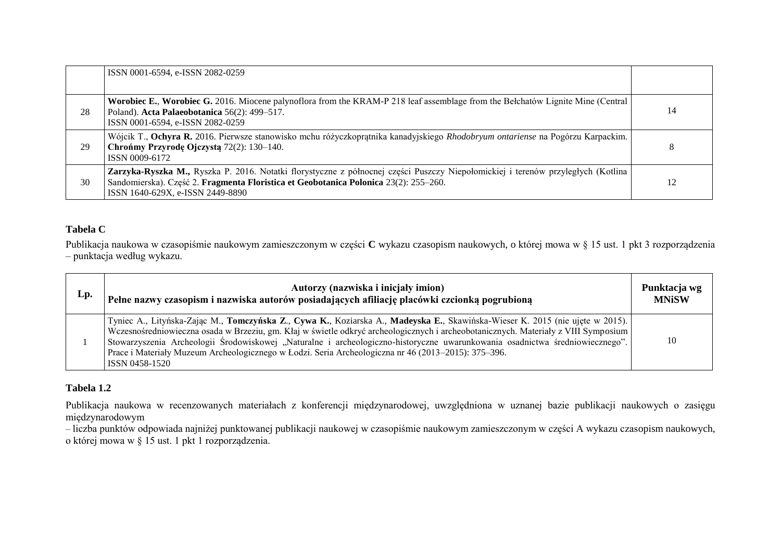|    | ISSN 0001-6594, e-ISSN 2082-0259                                                                                                                                                                                                                             |    |
|----|--------------------------------------------------------------------------------------------------------------------------------------------------------------------------------------------------------------------------------------------------------------|----|
| 28 | Worobiec E., Worobiec G. 2016. Miocene palynoflora from the KRAM-P 218 leaf assemblage from the Belchatów Lignite Mine (Central<br>Poland). Acta Palaeobotanica 56(2): 499-517.<br>ISSN 0001-6594, e-ISSN 2082-0259                                          | 14 |
| 29 | Wójcik T., Ochyra R. 2016. Pierwsze stanowisko mchu różyczkoprątnika kanadyjskiego <i>Rhodobryum ontariense</i> na Pogórzu Karpackim.<br>Chrońmy Przyrodę Ojczystą 72(2): 130–140.<br>ISSN 0009-6172                                                         | 8  |
| 30 | Zarzyka-Ryszka M., Ryszka P. 2016. Notatki florystyczne z północnej części Puszczy Niepołomickiej i terenów przyległych (Kotlina<br>Sandomierska). Część 2. Fragmenta Floristica et Geobotanica Polonica 23(2): 255–260.<br>ISSN 1640-629X, e-ISSN 2449-8890 | 12 |

## **Tabela C**

Publikacja naukowa w czasopiśmie naukowym zamieszczonym w części **C** wykazu czasopism naukowych, o której mowa w § 15 ust. 1 pkt 3 rozporządzenia – punktacja według wykazu.

| Lp. | Autorzy (nazwiska i inicjały imion)<br>Pełne nazwy czasopism i nazwiska autorów posiadających afiliację placówki czcionką pogrubioną                                                                                                                                                                                                                                                                                                                                                                                         | Punktacja wg<br><b>MNiSW</b> |
|-----|------------------------------------------------------------------------------------------------------------------------------------------------------------------------------------------------------------------------------------------------------------------------------------------------------------------------------------------------------------------------------------------------------------------------------------------------------------------------------------------------------------------------------|------------------------------|
|     | Tyniec A., Lityńska-Zając M., Tomczyńska Z., Cywa K., Koziarska A., Madeyska E., Skawińska-Wieser K. 2015 (nie ujęte w 2015).<br>Wczesnośredniowieczna osada w Brzeziu, gm. Kłaj w świetle odkryć archeologicznych i archeobotanicznych. Materiały z VIII Symposium<br>Stowarzyszenia Archeologii Środowiskowej "Naturalne i archeologiczno-historyczne uwarunkowania osadnictwa średniowiecznego".<br>Prace i Materiały Muzeum Archeologicznego w Łodzi. Seria Archeologiczna nr 46 (2013–2015): 375–396.<br>ISSN 0458-1520 | 10                           |

## **Tabela 1.2**

Publikacja naukowa w recenzowanych materiałach z konferencji międzynarodowej, uwzględniona w uznanej bazie publikacji naukowych o zasięgu międzynarodowym

– liczba punktów odpowiada najniżej punktowanej publikacji naukowej w czasopiśmie naukowym zamieszczonym w części A wykazu czasopism naukowych, o której mowa w § 15 ust. 1 pkt 1 rozporządzenia.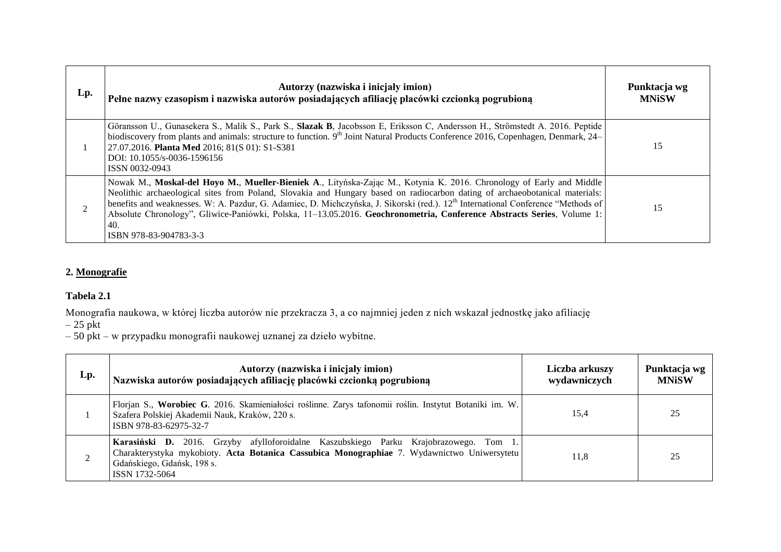| Lp. | Autorzy (nazwiska i inicjały imion)<br>Pełne nazwy czasopism i nazwiska autorów posiadających afiliację placówki czcionką pogrubioną                                                                                                                                                                                                                                                                                                                                                                                                                           | Punktacja wg<br><b>MNiSW</b> |
|-----|----------------------------------------------------------------------------------------------------------------------------------------------------------------------------------------------------------------------------------------------------------------------------------------------------------------------------------------------------------------------------------------------------------------------------------------------------------------------------------------------------------------------------------------------------------------|------------------------------|
|     | Göransson U., Gunasekera S., Malik S., Park S., Slazak B, Jacobsson E, Eriksson C, Andersson H., Strömstedt A. 2016. Peptide<br>biodiscovery from plants and animals: structure to function. 9 <sup>th</sup> Joint Natural Products Conference 2016, Copenhagen, Denmark, 24–<br>27.07.2016. Planta Med 2016; 81(S 01): S1-S381<br>DOI: 10.1055/s-0036-1596156<br>ISSN 0032-0943                                                                                                                                                                               | 15                           |
|     | Nowak M., Moskal-del Hoyo M., Mueller-Bieniek A., Lityńska-Zając M., Kotynia K. 2016. Chronology of Early and Middle<br>Neolithic archaeological sites from Poland, Slovakia and Hungary based on radiocarbon dating of archaeobotanical materials:<br>benefits and weaknesses. W: A. Pazdur, G. Adamiec, D. Michczyńska, J. Sikorski (red.). 12 <sup>th</sup> International Conference "Methods of<br>Absolute Chronology", Gliwice-Paniówki, Polska, 11-13.05.2016. Geochronometria, Conference Abstracts Series, Volume 1:<br>40.<br>ISBN 978-83-904783-3-3 | 15                           |

# **2. Monografie**

## **Tabela 2.1**

Monografia naukowa, w której liczba autorów nie przekracza 3, a co najmniej jeden z nich wskazał jednostkę jako afiliację

 $-25$  pkt

– 50 pkt – w przypadku monografii naukowej uznanej za dzieło wybitne.

| Lp. | Autorzy (nazwiska i inicjały imion)<br>Nazwiska autorów posiadających afiliację placówki czcionką pogrubioną                                                                                                                         | Liczba arkuszy<br>wydawniczych | Punktacja wg<br><b>MNiSW</b> |
|-----|--------------------------------------------------------------------------------------------------------------------------------------------------------------------------------------------------------------------------------------|--------------------------------|------------------------------|
|     | Florjan S., Worobiec G. 2016. Skamieniałości roślinne. Zarys tafonomii roślin. Instytut Botaniki im. W.<br>Szafera Polskiej Akademii Nauk, Kraków, 220 s.<br>ISBN 978-83-62975-32-7                                                  | 15,4                           | 25                           |
|     | Karasiński D. 2016. Grzyby afylloforoidalne Kaszubskiego Parku Krajobrazowego. Tom 1.<br>Charakterystyka mykobioty. Acta Botanica Cassubica Monographiae 7. Wydawnictwo Uniwersytetu<br>Gdańskiego, Gdańsk, 198 s.<br>ISSN 1732-5064 | 11.8                           | 25                           |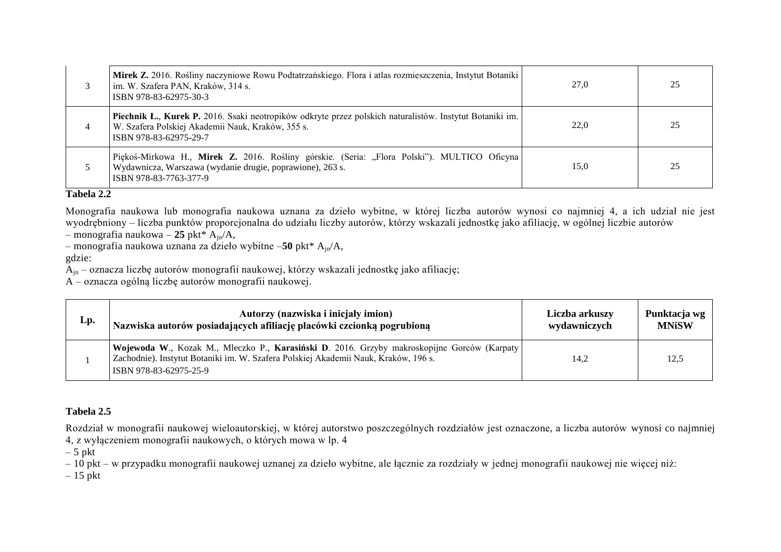|   | Mirek Z. 2016. Rośliny naczyniowe Rowu Podtatrzańskiego. Flora i atlas rozmieszczenia, Instytut Botaniki<br>im. W. Szafera PAN, Kraków, 314 s.<br>ISBN 978-83-62975-30-3                | 27,0 | 25 |
|---|-----------------------------------------------------------------------------------------------------------------------------------------------------------------------------------------|------|----|
| 4 | Piechnik Ł., Kurek P. 2016. Ssaki neotropików odkryte przez polskich naturalistów. Instytut Botaniki im.<br>W. Szafera Polskiej Akademii Nauk, Kraków, 355 s.<br>ISBN 978-83-62975-29-7 | 22.0 | 25 |
|   | Piękoś-Mirkowa H., Mirek Z. 2016. Rośliny górskie. (Seria: "Flora Polski"). MULTICO Oficyna<br>Wydawnicza, Warszawa (wydanie drugie, poprawione), 263 s.<br>ISBN 978-83-7763-377-9      | 15.0 | 25 |

## **Tabela 2.2**

Monografia naukowa lub monografia naukowa uznana za dzieło wybitne, w której liczba autorów wynosi co najmniej 4, a ich udział nie jest wyodrębniony – liczba punktów proporcjonalna do udziału liczby autorów, którzy wskazali jednostkę jako afiliację, w ogólnej liczbie autorów

– monografia naukowa – **25** pkt\* Ajn/A,

– monografia naukowa uznana za dzieło wybitne –**50** pkt\* Ajn/A,

gdzie:

 $\tilde{A}_{in}$  – oznacza liczbę autorów monografii naukowej, którzy wskazali jednostkę jako afiliację;

A – oznacza ogólną liczbę autorów monografii naukowej.

| Lp. | Autorzy (nazwiska i inicjały imion)                                                                                                                                                                           | Liczba arkuszy | Punktacja wg |
|-----|---------------------------------------------------------------------------------------------------------------------------------------------------------------------------------------------------------------|----------------|--------------|
|     | Nazwiska autorów posiadających afiliację placówki czcionką pogrubioną                                                                                                                                         | wydawniczych   | <b>MNiSW</b> |
|     | Wojewoda W., Kozak M., Mleczko P., Karasiński D. 2016. Grzyby makroskopijne Gorców (Karpaty)<br>Zachodnie). Instytut Botaniki im. W. Szafera Polskiej Akademii Nauk, Kraków, 196 s.<br>ISBN 978-83-62975-25-9 | 14,2           | 12.5         |

## **Tabela 2.5**

Rozdział w monografii naukowej wieloautorskiej, w której autorstwo poszczególnych rozdziałów jest oznaczone, a liczba autorów wynosi co najmniej 4, z wyłączeniem monografii naukowych, o których mowa w lp. 4

 $-5$  pkt

– 10 pkt – w przypadku monografii naukowej uznanej za dzieło wybitne, ale łącznie za rozdziały w jednej monografii naukowej nie więcej niż:

 $-15$  pkt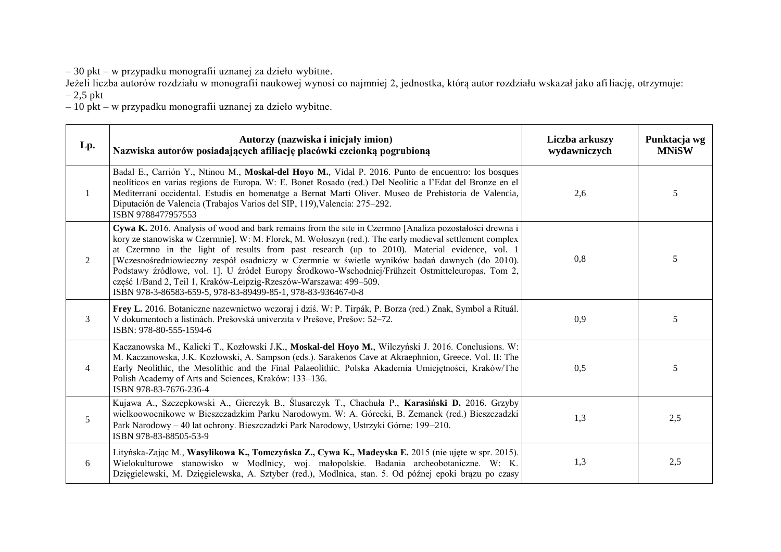– 30 pkt – w przypadku monografii uznanej za dzieło wybitne.

Jeżeli liczba autorów rozdziału w monografii naukowej wynosi co najmniej 2, jednostka, którą autor rozdziału wskazał jako afiliację, otrzymuje:

– 2,5 pkt

– 10 pkt – w przypadku monografii uznanej za dzieło wybitne.

| Lp.            | Autorzy (nazwiska i inicjały imion)<br>Nazwiska autorów posiadających afiliację placówki czcionką pogrubioną                                                                                                                                                                                                                                                                                                                                                                                                                                                                                                                                                   | Liczba arkuszy<br>wydawniczych | Punktacja wg<br><b>MNiSW</b> |
|----------------|----------------------------------------------------------------------------------------------------------------------------------------------------------------------------------------------------------------------------------------------------------------------------------------------------------------------------------------------------------------------------------------------------------------------------------------------------------------------------------------------------------------------------------------------------------------------------------------------------------------------------------------------------------------|--------------------------------|------------------------------|
| 1              | Badal E., Carrión Y., Ntinou M., Moskal-del Hoyo M., Vidal P. 2016. Punto de encuentro: los bosques<br>neolíticos en varias regions de Europa. W: E. Bonet Rosado (red.) Del Neolític a l'Edat del Bronze en el<br>Mediterrani occidental. Estudis en homenatge a Bernat Martí Oliver. Museo de Prehistoria de Valencia,<br>Diputación de Valencia (Trabajos Varios del SIP, 119), Valencia: 275–292.<br>ISBN 9788477957553                                                                                                                                                                                                                                    | 2,6                            | 5                            |
| 2              | Cywa K. 2016. Analysis of wood and bark remains from the site in Czermno [Analiza pozostałości drewna i<br>kory ze stanowiska w Czermnie]. W: M. Florek, M. Wołoszyn (red.). The early medieval settlement complex<br>at Czermno in the light of results from past research (up to 2010). Material evidence, vol. 1<br>[Wczesnośredniowieczny zespół osadniczy w Czermnie w świetle wyników badań dawnych (do 2010).<br>Podstawy źródłowe, vol. 1]. U źródeł Europy Środkowo-Wschodniej/Frühzeit Ostmitteleuropas, Tom 2,<br>część 1/Band 2, Teil 1, Kraków-Leipzig-Rzeszów-Warszawa: 499-509.<br>ISBN 978-3-86583-659-5, 978-83-89499-85-1, 978-83-936467-0-8 | 0,8                            | 5                            |
| $\mathfrak{Z}$ | Frey L. 2016. Botaniczne nazewnictwo wczoraj i dziś. W: P. Tirpák, P. Borza (red.) Znak, Symbol a Rituál.<br>V dokumentoch a listinách. Prešovská univerzita v Prešove, Prešov: 52–72.<br>ISBN: 978-80-555-1594-6                                                                                                                                                                                                                                                                                                                                                                                                                                              | 0,9                            | 5                            |
| 4              | Kaczanowska M., Kalicki T., Kozłowski J.K., Moskal-del Hoyo M., Wilczyński J. 2016. Conclusions. W:<br>M. Kaczanowska, J.K. Kozłowski, A. Sampson (eds.). Sarakenos Cave at Akraephnion, Greece. Vol. II: The<br>Early Neolithic, the Mesolithic and the Final Palaeolithic. Polska Akademia Umiejętności, Kraków/The<br>Polish Academy of Arts and Sciences, Kraków: 133–136.<br>ISBN 978-83-7676-236-4                                                                                                                                                                                                                                                       | 0,5                            | 5                            |
| 5              | Kujawa A., Szczepkowski A., Gierczyk B., Ślusarczyk T., Chachuła P., Karasiński D. 2016. Grzyby<br>wielkoowocnikowe w Bieszczadzkim Parku Narodowym. W: A. Górecki, B. Zemanek (red.) Bieszczadzki<br>Park Narodowy - 40 lat ochrony. Bieszczadzki Park Narodowy, Ustrzyki Górne: 199-210.<br>ISBN 978-83-88505-53-9                                                                                                                                                                                                                                                                                                                                           | 1,3                            | 2,5                          |
| 6              | Lityńska-Zając M., Wasylikowa K., Tomczyńska Z., Cywa K., Madeyska E. 2015 (nie ujęte w spr. 2015).<br>Wielokulturowe stanowisko w Modlnicy, woj. małopolskie. Badania archeobotaniczne. W: K.<br>Dzięgielewski, M. Dzięgielewska, A. Sztyber (red.), Modlnica, stan. 5. Od późnej epoki brązu po czasy                                                                                                                                                                                                                                                                                                                                                        | 1,3                            | 2,5                          |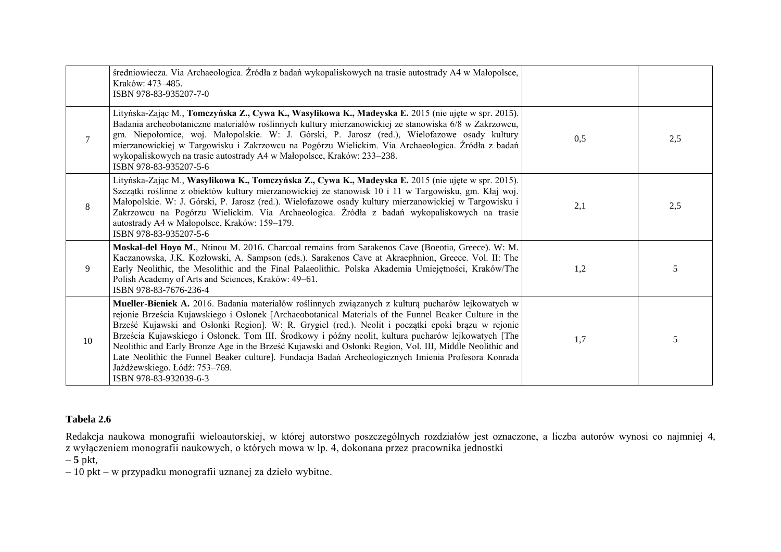|        | średniowiecza. Via Archaeologica. Źródła z badań wykopaliskowych na trasie autostrady A4 w Małopolsce,<br>Kraków: 473-485.<br>ISBN 978-83-935207-7-0                                                                                                                                                                                                                                                                                                                                                                                                                                                                                                                                                     |     |     |
|--------|----------------------------------------------------------------------------------------------------------------------------------------------------------------------------------------------------------------------------------------------------------------------------------------------------------------------------------------------------------------------------------------------------------------------------------------------------------------------------------------------------------------------------------------------------------------------------------------------------------------------------------------------------------------------------------------------------------|-----|-----|
| $\tau$ | Lityńska-Zając M., Tomczyńska Z., Cywa K., Wasylikowa K., Madeyska E. 2015 (nie ujęte w spr. 2015).<br>Badania archeobotaniczne materiałów roślinnych kultury mierzanowickiej ze stanowiska 6/8 w Zakrzowcu,<br>gm. Niepołomice, woj. Małopolskie. W: J. Górski, P. Jarosz (red.), Wielofazowe osady kultury<br>mierzanowickiej w Targowisku i Zakrzowcu na Pogórzu Wielickim. Via Archaeologica. Źródła z badań<br>wykopaliskowych na trasie autostrady A4 w Małopolsce, Kraków: 233–238.<br>ISBN 978-83-935207-5-6                                                                                                                                                                                     | 0,5 | 2,5 |
| 8      | Lityńska-Zając M., Wasylikowa K., Tomczyńska Z., Cywa K., Madeyska E. 2015 (nie ujęte w spr. 2015).<br>Szczątki roślinne z obiektów kultury mierzanowickiej ze stanowisk 10 i 11 w Targowisku, gm. Kłaj woj.<br>Małopolskie. W: J. Górski, P. Jarosz (red.). Wielofazowe osady kultury mierzanowickiej w Targowisku i<br>Zakrzowcu na Pogórzu Wielickim. Via Archaeologica. Źródła z badań wykopaliskowych na trasie<br>autostrady A4 w Małopolsce, Kraków: 159–179.<br>ISBN 978-83-935207-5-6                                                                                                                                                                                                           | 2,1 | 2,5 |
| 9      | Moskal-del Hoyo M., Ntinou M. 2016. Charcoal remains from Sarakenos Cave (Boeotia, Greece). W: M.<br>Kaczanowska, J.K. Kozłowski, A. Sampson (eds.). Sarakenos Cave at Akraephnion, Greece. Vol. II: The<br>Early Neolithic, the Mesolithic and the Final Palaeolithic. Polska Akademia Umiejętności, Kraków/The<br>Polish Academy of Arts and Sciences, Kraków: 49-61.<br>ISBN 978-83-7676-236-4                                                                                                                                                                                                                                                                                                        | 1,2 | 5   |
| 10     | Mueller-Bieniek A. 2016. Badania materiałów roślinnych związanych z kulturą pucharów lejkowatych w<br>rejonie Brześcia Kujawskiego i Osłonek [Archaeobotanical Materials of the Funnel Beaker Culture in the<br>Brześć Kujawski and Osłonki Region]. W: R. Grygiel (red.). Neolit i początki epoki brązu w rejonie<br>Brześcia Kujawskiego i Osłonek. Tom III. Środkowy i późny neolit, kultura pucharów lejkowatych [The<br>Neolithic and Early Bronze Age in the Brześć Kujawski and Osłonki Region, Vol. III, Middle Neolithic and<br>Late Neolithic the Funnel Beaker culture]. Fundacja Badań Archeologicznych Imienia Profesora Konrada<br>Jażdżewskiego. Łódź: 753-769.<br>ISBN 978-83-932039-6-3 | 1,7 | 5   |

## **Tabela 2.6**

Redakcja naukowa monografii wieloautorskiej, w której autorstwo poszczególnych rozdziałów jest oznaczone, a liczba autorów wynosi co najmniej 4, z wyłączeniem monografii naukowych, o których mowa w lp. 4, dokonana przez pracownika jednostki

– **5** pkt,

– 10 pkt – w przypadku monografii uznanej za dzieło wybitne.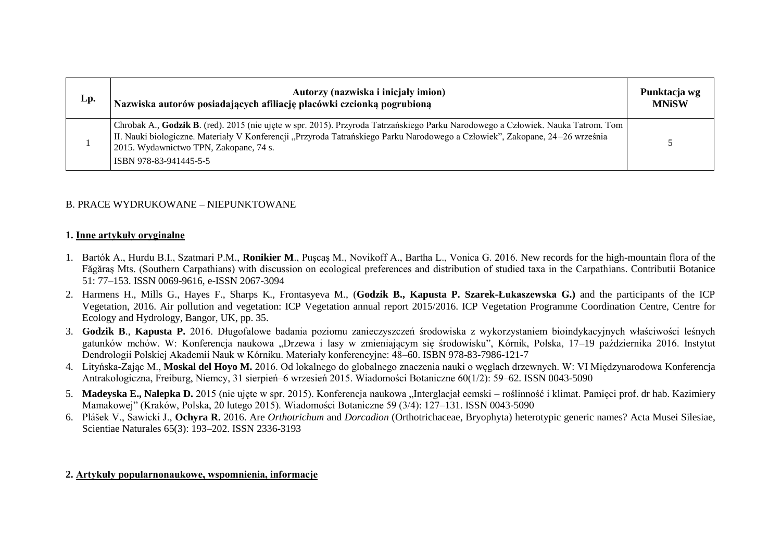| Lp. | Autorzy (nazwiska i inicjały imion)<br>Nazwiska autorów posiadających afiliację placówki czcionką pogrubioną                                                                                                                                                                                                                         | Punktacja wg<br><b>MNiSW</b> |
|-----|--------------------------------------------------------------------------------------------------------------------------------------------------------------------------------------------------------------------------------------------------------------------------------------------------------------------------------------|------------------------------|
|     | Chrobak A., Godzik B. (red). 2015 (nie ujęte w spr. 2015). Przyroda Tatrzańskiego Parku Narodowego a Człowiek. Nauka Tatrom. Tom<br>II. Nauki biologiczne. Materiały V Konferencji "Przyroda Tatrańskiego Parku Narodowego a Człowiek", Zakopane, 24–26 września<br>2015. Wydawnictwo TPN, Zakopane, 74 s.<br>ISBN 978-83-941445-5-5 |                              |

## B. PRACE WYDRUKOWANE – NIEPUNKTOWANE

#### **1. Inne artykuły oryginalne**

- 1. Bartók A., Hurdu B.I., Szatmari P.M., **Ronikier M**., Puşcaş M., Novikoff A., Bartha L., Vonica G. 2016. New records for the high-mountain flora of the Făgăraş Mts. (Southern Carpathians) with discussion on ecological preferences and distribution of studied taxa in the Carpathians. Contributii Botanice 51: 77–153. ISSN 0069-9616, e-ISSN 2067-3094
- 2. Harmens H., Mills G., Hayes F., Sharps K., Frontasyeva M., (**Godzik B., Kapusta P. Szarek-Łukaszewska G.)** and the participants of the ICP Vegetation, 2016. Air pollution and vegetation: ICP Vegetation annual report 2015/2016. ICP Vegetation Programme Coordination Centre, Centre for Ecology and Hydrology, Bangor, UK, pp. 35.
- 3. **Godzik B**., **Kapusta P.** 2016. Długofalowe badania poziomu zanieczyszczeń środowiska z wykorzystaniem bioindykacyjnych właściwości leśnych gatunków mchów. W: Konferencja naukowa "Drzewa i lasy w zmieniającym się środowisku", Kórnik, Polska, 17–19 października 2016. Instytut Dendrologii Polskiej Akademii Nauk w Kórniku. Materiały konferencyjne: 48–60. ISBN 978-83-7986-121-7
- 4. Lityńska-Zając M., **Moskal del Hoyo M.** 2016. Od lokalnego do globalnego znaczenia nauki o węglach drzewnych. W: VI Międzynarodowa Konferencja Antrakologiczna, Freiburg, Niemcy, 31 sierpień–6 wrzesień 2015. Wiadomości Botaniczne 60(1/2): 59–62. ISSN 0043-5090
- 5. Madeyska E., Nalepka D. 2015 (nie ujęte w spr. 2015). Konferencja naukowa "Interglacjał eemski roślinność i klimat. Pamięci prof. dr hab. Kazimiery Mamakowej" (Kraków, Polska, 20 lutego 2015). Wiadomości Botaniczne 59 (3/4): 127–131. ISSN 0043-5090
- 6. Plášek V., Sawicki J., **Ochyra R.** 2016. Are *Orthotrichum* and *Dorcadion* (Orthotrichaceae, Bryophyta) heterotypic generic names? Acta Musei Silesiae, Scientiae Naturales 65(3): 193–202. ISSN 2336-3193

#### **2. Artykuły popularnonaukowe, wspomnienia, informacje**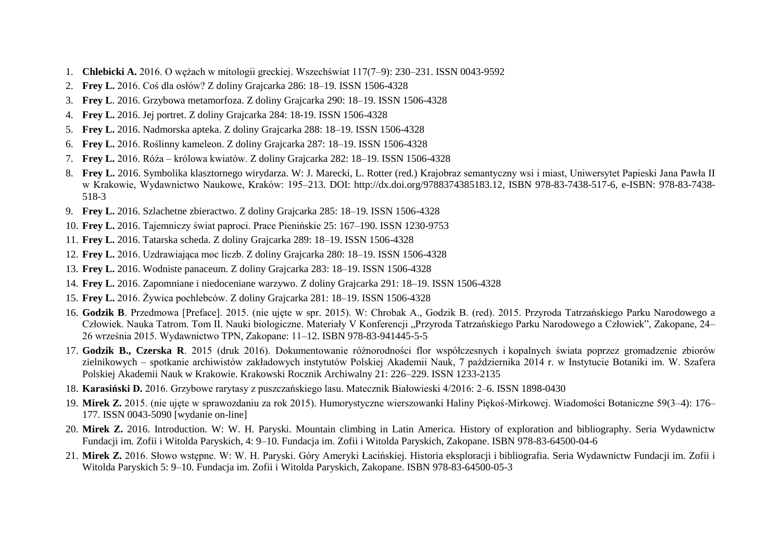- 1. **Chlebicki A.** 2016. O wężach w mitologii greckiej. Wszechświat 117(7–9): 230–231. ISSN 0043-9592
- 2. **Frey L.** 2016. Coś dla osłów? Z doliny Grajcarka 286: 18–19. ISSN 1506-4328
- 3. **Frey L**. 2016. Grzybowa metamorfoza. Z doliny Grajcarka 290: 18–19. ISSN 1506-4328
- 4. **Frey L.** 2016. Jej portret. Z doliny Grajcarka 284: 18-19. ISSN 1506-4328
- 5. **Frey L.** 2016. Nadmorska apteka. Z doliny Grajcarka 288: 18–19. ISSN 1506-4328
- 6. **Frey L.** 2016. Roślinny kameleon. Z doliny Grajcarka 287: 18–19. ISSN 1506-4328
- 7. **Frey L.** 2016. Róża królowa kwiatów. Z doliny Grajcarka 282: 18–19. ISSN 1506-4328
- 8. **Frey L.** 2016. Symbolika klasztornego wirydarza. W: J. Marecki, L. Rotter (red.) Krajobraz semantyczny wsi i miast, Uniwersytet Papieski Jana Pawła II w Krakowie, Wydawnictwo Naukowe, Kraków: 195–213. DOI: http://dx.doi.org/9788374385183.12, ISBN 978-83-7438-517-6, e-ISBN: 978-83-7438- 518-3
- 9. **Frey L.** 2016. Szlachetne zbieractwo. Z doliny Grajcarka 285: 18–19. ISSN 1506-4328
- 10. **Frey L.** 2016. Tajemniczy świat paproci. Prace Pienińskie 25: 167–190. ISSN 1230-9753
- 11. **Frey L.** 2016. Tatarska scheda. Z doliny Grajcarka 289: 18–19. ISSN 1506-4328
- 12. **Frey L.** 2016. Uzdrawiająca moc liczb. Z doliny Grajcarka 280: 18–19. ISSN 1506-4328
- 13. **Frey L.** 2016. Wodniste panaceum. Z doliny Grajcarka 283: 18–19. ISSN 1506-4328
- 14. **Frey L.** 2016. Zapomniane i niedoceniane warzywo. Z doliny Grajcarka 291: 18–19. ISSN 1506-4328
- 15. **Frey L.** 2016. Żywica pochlebców. Z doliny Grajcarka 281: 18–19. ISSN 1506-4328
- 16. **Godzik B**. Przedmowa [Preface]. 2015. (nie ujęte w spr. 2015). W: Chrobak A., Godzik B. (red). 2015. Przyroda Tatrzańskiego Parku Narodowego a Człowiek. Nauka Tatrom. Tom II. Nauki biologiczne. Materiały V Konferencji "Przyroda Tatrzańskiego Parku Narodowego a Człowiek", Zakopane, 24– 26 września 2015. Wydawnictwo TPN, Zakopane: 11–12. ISBN 978-83-941445-5-5
- 17. **Godzik B., Czerska R**. 2015 (druk 2016). Dokumentowanie różnorodności flor współczesnych i kopalnych świata poprzez gromadzenie zbiorów zielnikowych – spotkanie archiwistów zakładowych instytutów Polskiej Akademii Nauk, 7 października 2014 r. w Instytucie Botaniki im. W. Szafera Polskiej Akademii Nauk w Krakowie. Krakowski Rocznik Archiwalny 21: 226–229. ISSN 1233-2135
- 18. **Karasiński D.** 2016. Grzybowe rarytasy z puszczańskiego lasu. Matecznik Białowieski 4/2016: 2–6. ISSN 1898-0430
- 19. **Mirek Z.** 2015. (nie ujęte w sprawozdaniu za rok 2015). Humorystyczne wierszowanki Haliny Piękoś-Mirkowej. Wiadomości Botaniczne 59(3–4): 176– 177. ISSN 0043-5090 [wydanie on-line]
- 20. **Mirek Z.** 2016. Introduction. W: W. H. Paryski. Mountain climbing in Latin America. History of exploration and bibliography. Seria Wydawnictw Fundacji im. Zofii i Witolda Paryskich, 4: 9–10. Fundacja im. Zofii i Witolda Paryskich, Zakopane. ISBN 978-83-64500-04-6
- 21. **Mirek Z.** 2016. Słowo wstępne. W: W. H. Paryski. Góry Ameryki Łacińskiej. Historia eksploracji i bibliografia. Seria Wydawnictw Fundacji im. Zofii i Witolda Paryskich 5: 9–10. Fundacja im. Zofii i Witolda Paryskich, Zakopane. ISBN 978-83-64500-05-3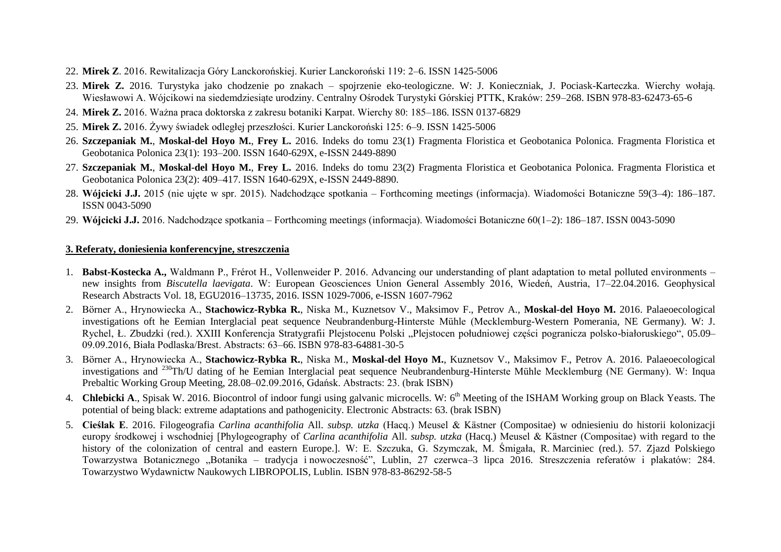- 22. **Mirek Z**. 2016. Rewitalizacja Góry Lanckorońskiej. Kurier Lanckoroński 119: 2–6. ISSN 1425-5006
- 23. **Mirek Z.** 2016. Turystyka jako chodzenie po znakach spojrzenie eko-teologiczne. W: J. Konieczniak, J. Pociask-Karteczka. Wierchy wołają. Wiesławowi A. Wójcikowi na siedemdziesiąte urodziny. Centralny Ośrodek Turystyki Górskiej PTTK, Kraków: 259–268. ISBN 978-83-62473-65-6
- 24. **Mirek Z.** 2016. Ważna praca doktorska z zakresu botaniki Karpat. Wierchy 80: 185–186. ISSN 0137-6829
- 25. **Mirek Z.** 2016. Żywy świadek odległej przeszłości. Kurier Lanckoroński 125: 6–9. ISSN 1425-5006
- 26. **Szczepaniak M.**, **Moskal-del Hoyo M.**, **Frey L.** 2016. Indeks do tomu 23(1) Fragmenta Floristica et Geobotanica Polonica. Fragmenta Floristica et Geobotanica Polonica 23(1): 193–200. ISSN 1640-629X, e-ISSN 2449-8890
- 27. **Szczepaniak M.**, **Moskal-del Hoyo M.**, **Frey L.** 2016. Indeks do tomu 23(2) Fragmenta Floristica et Geobotanica Polonica. Fragmenta Floristica et Geobotanica Polonica 23(2): 409–417. ISSN 1640-629X, e-ISSN 2449-8890.
- 28. **Wójcicki J.J.** 2015 (nie ujęte w spr. 2015). Nadchodzące spotkania Forthcoming meetings (informacja). Wiadomości Botaniczne 59(3–4): 186–187. ISSN 0043-5090
- 29. **Wójcicki J.J.** 2016. Nadchodzące spotkania Forthcoming meetings (informacja). Wiadomości Botaniczne 60(1–2): 186–187. ISSN 0043-5090

#### **3. Referaty, doniesienia konferencyjne, streszczenia**

- 1. **Babst-Kostecka A.,** Waldmann P., Frérot H., Vollenweider P. 2016. Advancing our understanding of plant adaptation to metal polluted environments new insights from *Biscutella laevigata*. W: European Geosciences Union General Assembly 2016, Wiedeń, Austria, 17–22.04.2016. Geophysical Research Abstracts Vol. 18, EGU2016–13735, 2016. ISSN 1029-7006, e-ISSN 1607-7962
- 2. Börner A., Hrynowiecka A., **Stachowicz-Rybka R.**, Niska M., Kuznetsov V., Maksimov F., Petrov A., **Moskal-del Hoyo M.** 2016. Palaeoecological investigations oft he Eemian Interglacial peat sequence Neubrandenburg-Hinterste Mühle (Mecklemburg-Western Pomerania, NE Germany). W: J. Rychel, Ł. Zbudzki (red.). XXIII Konferencja Stratygrafii Plejstocenu Polski "Plejstocen południowej części pogranicza polsko-białoruskiego", 05.09– 09.09.2016, Biała Podlaska/Brest. Abstracts: 63–66. ISBN 978-83-64881-30-5
- 3. Börner A., Hrynowiecka A., **Stachowicz-Rybka R.**, Niska M., **Moskal-del Hoyo M.**, Kuznetsov V., Maksimov F., Petrov A. 2016. Palaeoecological investigations and <sup>230</sup>Th/U dating of he Eemian Interglacial peat sequence Neubrandenburg-Hinterste Mühle Mecklemburg (NE Germany). W: Inqua Prebaltic Working Group Meeting, 28.08–02.09.2016, Gdańsk. Abstracts: 23. (brak ISBN)
- 4. Chlebicki A., Spisak W. 2016. Biocontrol of indoor fungi using galvanic microcells. W: 6<sup>th</sup> Meeting of the ISHAM Working group on Black Yeasts. The potential of being black: extreme adaptations and pathogenicity. Electronic Abstracts: 63. (brak ISBN)
- 5. **Cieślak E**. 2016. Filogeografia *Carlina acanthifolia* All. *subsp. utzka* (Hacq.) Meusel & Kästner (Compositae) w odniesieniu do historii kolonizacji europy środkowej i wschodniej [Phylogeography of *Carlina acanthifolia* All. *subsp. utzka* (Hacq.) Meusel & Kästner (Compositae) with regard to the history of the colonization of central and eastern Europe.]. W: E. Szczuka, G. Szymczak, M. Śmigała, R. Marciniec (red.). 57. Zjazd Polskiego Towarzystwa Botanicznego "Botanika – tradycja i nowoczesność", Lublin, 27 czerwca–3 lipca 2016. Streszczenia referatów i plakatów: 284. Towarzystwo Wydawnictw Naukowych LIBROPOLIS, Lublin. ISBN 978-83-86292-58-5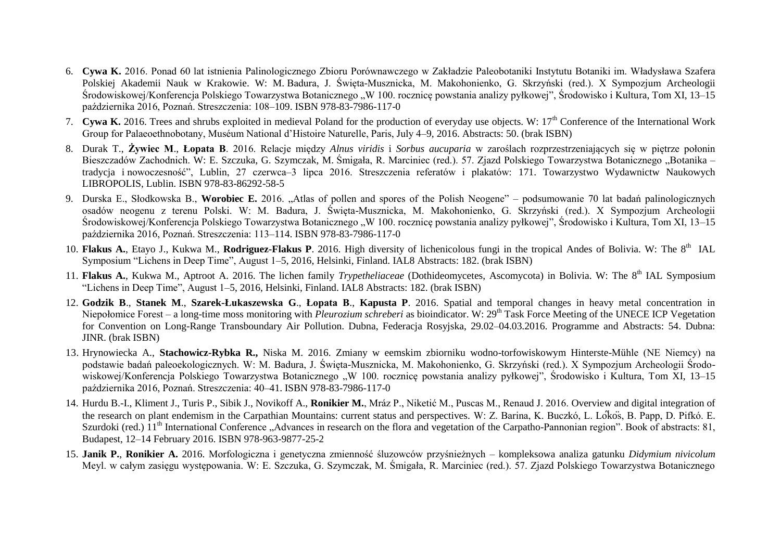- 6. **Cywa K.** 2016. Ponad 60 lat istnienia Palinologicznego Zbioru Porównawczego w Zakładzie Paleobotaniki Instytutu Botaniki im. Władysława Szafera Polskiej Akademii Nauk w Krakowie. W: M. Badura, J. Święta-Musznicka, M. Makohonienko, G. Skrzyński (red.). X Sympozjum Archeologii Środowiskowej/Konferencja Polskiego Towarzystwa Botanicznego "W 100. rocznice powstania analizy pyłkowej", Środowisko i Kultura, Tom XI, 13–15 października 2016, Poznań. Streszczenia: 108–109. ISBN 978-83-7986-117-0
- 7. **Cywa K.** 2016. Trees and shrubs exploited in medieval Poland for the production of everyday use objects. W: 17th Conference of the International Work Group for Palaeoethnobotany, Muséum National d'Histoire Naturelle, Paris, July 4–9, 2016. Abstracts: 50. (brak ISBN)
- 8. Durak T., **Żywiec M**., **Łopata B**. 2016. Relacje między *Alnus viridis* i *Sorbus aucuparia* w zaroślach rozprzestrzeniających się w piętrze połonin Bieszczadów Zachodnich. W: E. Szczuka, G. Szymczak, M. Śmigała, R. Marciniec (red.). 57. Zjazd Polskiego Towarzystwa Botanicznego "Botanika – tradycja i nowoczesność", Lublin, 27 czerwca–3 lipca 2016. Streszczenia referatów i plakatów: 171. Towarzystwo Wydawnictw Naukowych LIBROPOLIS, Lublin. ISBN 978-83-86292-58-5
- 9. Durska E., Słodkowska B., **Worobiec E.** 2016. "Atlas of pollen and spores of the Polish Neogene" podsumowanie 70 lat badań palinologicznych osadów neogenu z terenu Polski. W: M. Badura, J. Święta-Musznicka, M. Makohonienko, G. Skrzyński (red.). X Sympozjum Archeologii Środowiskowej/Konferencja Polskiego Towarzystwa Botanicznego "W 100. rocznicę powstania analizy pyłkowej", Środowisko i Kultura, Tom XI, 13–15 października 2016, Poznań. Streszczenia: 113–114. ISBN 978-83-7986-117-0
- 10. **Flakus A.**, Etayo J., Kukwa M., Rodriguez-Flakus P. 2016. High diversity of lichenicolous fungi in the tropical Andes of Bolivia. W: The 8<sup>th</sup> IAL Symposium "Lichens in Deep Time", August 1–5, 2016, Helsinki, Finland. IAL8 Abstracts: 182. (brak ISBN)
- 11. **Flakus A.**, Kukwa M., Aptroot A. 2016. The lichen family *Trypetheliaceae* (Dothideomycetes, Ascomycota) in Bolivia. W: The 8<sup>th</sup> IAL Symposium "Lichens in Deep Time", August 1–5, 2016, Helsinki, Finland. IAL8 Abstracts: 182. (brak ISBN)
- 12. **Godzik B**., **Stanek M**., **Szarek-Łukaszewska G**., **Łopata B**., **Kapusta P**. 2016. Spatial and temporal changes in heavy metal concentration in Niepołomice Forest – a long-time moss monitoring with *Pleurozium schreberi* as bioindicator. W: 29<sup>th</sup> Task Force Meeting of the UNECE ICP Vegetation for Convention on Long-Range Transboundary Air Pollution. Dubna, Federacja Rosyjska, 29.02–04.03.2016. Programme and Abstracts: 54. Dubna: JINR. (brak ISBN)
- 13. Hrynowiecka A., **Stachowicz-Rybka R.,** Niska M. 2016. Zmiany w eemskim zbiorniku wodno-torfowiskowym Hinterste-Mühle (NE Niemcy) na podstawie badań paleoekologicznych. W: M. Badura, J. Święta-Musznicka, M. Makohonienko, G. Skrzyński (red.). X Sympozjum Archeologii Środowiskowej/Konferencja Polskiego Towarzystwa Botanicznego "W 100. rocznice powstania analizy pyłkowej", Środowisko i Kultura, Tom XI, 13–15 października 2016, Poznań. Streszczenia: 40–41. ISBN 978-83-7986-117-0
- 14. Hurdu B.-I., Kliment J., Turis P., Sibik J., Novikoff A., **Ronikier M.**, Mráz P., Niketić M., Puscas M., Renaud J. 2016. Overview and digital integration of the research on plant endemism in the Carpathian Mountains: current status and perspectives. W: Z. Barina, K. Buczkó, L. Lókos, B. Papp, D. Pifkó. E. Szurdoki (red.)  $11<sup>th</sup>$  International Conference . Advances in research on the flora and vegetation of the Carpatho-Pannonian region". Book of abstracts: 81, Budapest, 12–14 February 2016. ISBN 978-963-9877-25-2
- 15. **Janik P.**, **Ronikier A.** 2016. Morfologiczna i genetyczna zmienność śluzowców przyśnieżnych kompleksowa analiza gatunku *Didymium nivicolum* Meyl. w całym zasięgu występowania. W: E. Szczuka, G. Szymczak, M. Śmigała, R. Marciniec (red.). 57. Zjazd Polskiego Towarzystwa Botanicznego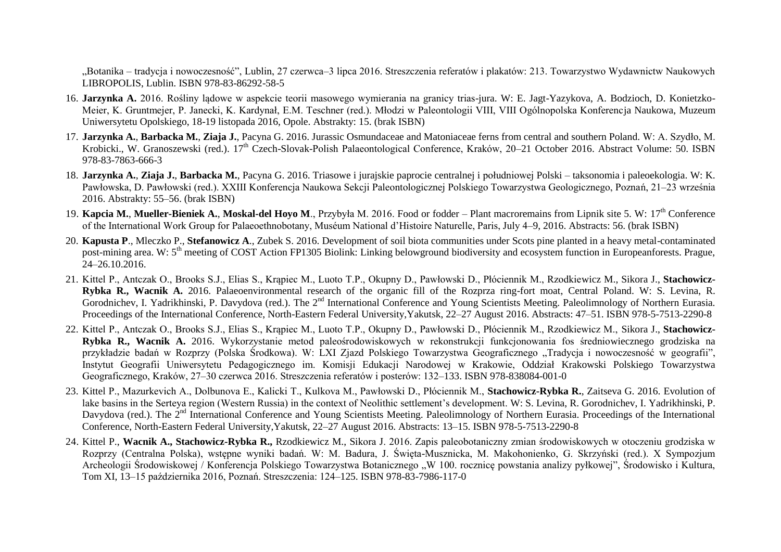"Botanika – tradycja i nowoczesność", Lublin, 27 czerwca–3 lipca 2016. Streszczenia referatów i plakatów: 213. Towarzystwo Wydawnictw Naukowych LIBROPOLIS, Lublin. ISBN 978-83-86292-58-5

- 16. **Jarzynka A.** 2016. Rośliny lądowe w aspekcie teorii masowego wymierania na granicy trias-jura. W: E. Jagt-Yazykova, A. Bodzioch, D. Konietzko-Meier, K. Gruntmejer, P. Janecki, K. Kardynał, E.M. Teschner (red.). Młodzi w Paleontologii VIII, VIII Ogólnopolska Konferencja Naukowa, Muzeum Uniwersytetu Opolskiego, 18-19 listopada 2016, Opole. Abstrakty: 15. (brak ISBN)
- 17. **Jarzynka A.**, **Barbacka M.**, **Ziaja J.**, Pacyna G. 2016. Jurassic Osmundaceae and Matoniaceae ferns from central and southern Poland. W: A. Szydło, M. Krobicki., W. Granoszewski (red.). 17<sup>th</sup> Czech-Slovak-Polish Palaeontological Conference, Kraków, 20–21 October 2016. Abstract Volume: 50. ISBN 978-83-7863-666-3
- 18. **Jarzynka A.**, **Ziaja J.**, **Barbacka M.**, Pacyna G. 2016. Triasowe i jurajskie paprocie centralnej i południowej Polski taksonomia i paleoekologia. W: K. Pawłowska, D. Pawłowski (red.). XXIII Konferencja Naukowa Sekcji Paleontologicznej Polskiego Towarzystwa Geologicznego, Poznań, 21–23 września 2016. Abstrakty: 55–56. (brak ISBN)
- 19. **Kapcia M.**, **Mueller-Bieniek A.**, **Moskal-del Hoyo M**., Przybyła M. 2016. Food or fodder Plant macroremains from Lipnik site 5. W: 17th Conference of the International Work Group for Palaeoethnobotany, Muséum National d'Histoire Naturelle, Paris, July 4–9, 2016. Abstracts: 56. (brak ISBN)
- 20. **Kapusta P**., Mleczko P., **Stefanowicz A**., Zubek S. 2016. Development of soil biota communities under Scots pine planted in a heavy metal-contaminated post-mining area. W: 5<sup>th</sup> meeting of COST Action FP1305 Biolink: Linking belowground biodiversity and ecosystem function in Europeanforests. Prague, 24–26.10.2016.
- 21. Kittel P., Antczak O., Brooks S.J., Elias S., Krąpiec M., Luoto T.P., Okupny D., Pawłowski D., Płóciennik M., Rzodkiewicz M., Sikora J., **Stachowicz-Rybka R., Wacnik A.** 2016. Palaeoenvironmental research of the organic fill of the Rozprza ring-fort moat, Central Poland. W: S. Levina, R. Gorodnichev, I. Yadrikhinski, P. Davydova (red.). The 2<sup>nd</sup> International Conference and Young Scientists Meeting. Paleolimnology of Northern Eurasia. Proceedings of the International Conference, North-Eastern Federal University,Yakutsk, 22–27 August 2016. Abstracts: 47–51. ISBN 978-5-7513-2290-8
- 22. Kittel P., Antczak O., Brooks S.J., Elias S., Krąpiec M., Luoto T.P., Okupny D., Pawłowski D., Płóciennik M., Rzodkiewicz M., Sikora J., **Stachowicz-Rybka R., Wacnik A.** 2016. Wykorzystanie metod paleośrodowiskowych w rekonstrukcji funkcjonowania fos średniowiecznego grodziska na przykładzie badań w Rozprzy (Polska Środkowa). W: LXI Zjazd Polskiego Towarzystwa Geograficznego "Tradycja i nowoczesność w geografii", Instytut Geografii Uniwersytetu Pedagogicznego im. Komisji Edukacji Narodowej w Krakowie, Oddział Krakowski Polskiego Towarzystwa Geograficznego, Kraków, 27–30 czerwca 2016. Streszczenia referatów i posterów: 132–133. ISBN 978-838084-001-0
- 23. Kittel P., Mazurkevich A., Dolbunova E., Kalicki T., Kulkova M., Pawłowski D., Płóciennik M., **Stachowicz-Rybka R.**, Zaitseva G. 2016. Evolution of lake basins in the Serteya region (Western Russia) in the context of Neolithic settlement's development. W: S. Levina, R. Gorodnichev, I. Yadrikhinski, P. Davydova (red.). The 2<sup>nd</sup> International Conference and Young Scientists Meeting. Paleolimnology of Northern Eurasia. Proceedings of the International Conference, North-Eastern Federal University,Yakutsk, 22–27 August 2016. Abstracts: 13–15. ISBN 978-5-7513-2290-8
- 24. Kittel P., **Wacnik A., Stachowicz-Rybka R.,** Rzodkiewicz M., Sikora J. 2016. Zapis paleobotaniczny zmian środowiskowych w otoczeniu grodziska w Rozprzy (Centralna Polska), wstępne wyniki badań. W: M. Badura, J. Święta-Musznicka, M. Makohonienko, G. Skrzyński (red.). X Sympozjum Archeologii Środowiskowej / Konferencja Polskiego Towarzystwa Botanicznego "W 100. rocznicę powstania analizy pyłkowej", Środowisko i Kultura, Tom XI, 13–15 października 2016, Poznań. Streszczenia: 124–125. ISBN 978-83-7986-117-0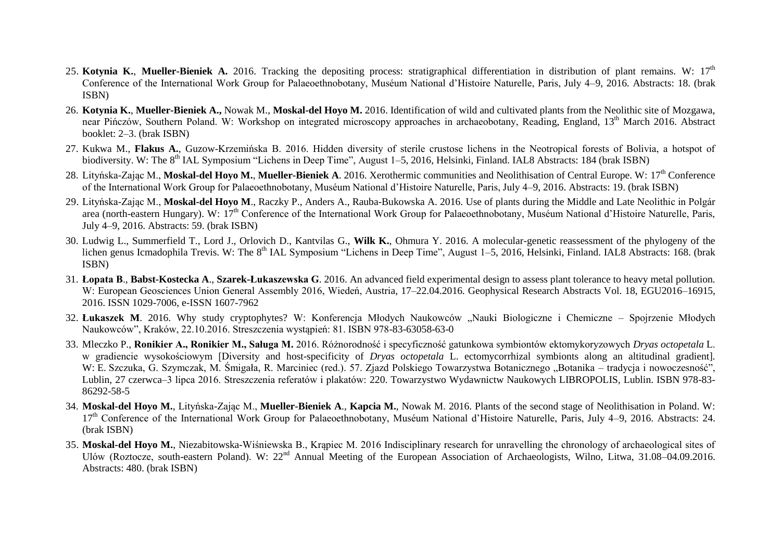- 25. **Kotynia K., Mueller-Bieniek A.** 2016. Tracking the depositing process: stratigraphical differentiation in distribution of plant remains. W: 17<sup>th</sup> Conference of the International Work Group for Palaeoethnobotany, Muséum National d'Histoire Naturelle, Paris, July 4–9, 2016. Abstracts: 18. (brak ISBN)
- 26. **Kotynia K.**, **Mueller-Bieniek A.,** Nowak M., **Moskal-del Hoyo M.** 2016. Identification of wild and cultivated plants from the Neolithic site of Mozgawa, near Pińczów, Southern Poland. W: Workshop on integrated microscopy approaches in archaeobotany, Reading, England, 13<sup>th</sup> March 2016. Abstract booklet: 2–3. (brak ISBN)
- 27. Kukwa M., **Flakus A.**, Guzow-Krzemińska B. 2016. Hidden diversity of sterile crustose lichens in the Neotropical forests of Bolivia, a hotspot of biodiversity. W: The 8<sup>th</sup> IAL Symposium "Lichens in Deep Time", August 1–5, 2016, Helsinki, Finland, IAL8 Abstracts: 184 (brak ISBN)
- 28. Lityńska-Zając M., Moskal-del Hovo M., Mueller-Bieniek A. 2016. Xerothermic communities and Neolithisation of Central Europe. W: 17<sup>th</sup> Conference of the International Work Group for Palaeoethnobotany, Muséum National d'Histoire Naturelle, Paris, July 4–9, 2016. Abstracts: 19. (brak ISBN)
- 29. Lityńska-Zając M., **Moskal-del Hoyo M**., Raczky P., Anders A., Rauba-Bukowska A. 2016. Use of plants during the Middle and Late Neolithic in Polgár area (north-eastern Hungary). W: 17<sup>th</sup> Conference of the International Work Group for Palaeoethnobotany, Muséum National d'Histoire Naturelle, Paris, July 4–9, 2016. Abstracts: 59. (brak ISBN)
- 30. Ludwig L., Summerfield T., Lord J., Orlovich D., Kantvilas G., **Wilk K.**, Ohmura Y. 2016. A molecular-genetic reassessment of the phylogeny of the lichen genus Icmadophila Trevis. W: The 8<sup>th</sup> IAL Symposium "Lichens in Deep Time", August 1–5, 2016, Helsinki, Finland. IAL8 Abstracts: 168. (brak ISBN)
- 31. **Łopata B**., **Babst-Kostecka A**., **Szarek-Łukaszewska G**. 2016. An advanced field experimental design to assess plant tolerance to heavy metal pollution. W: European Geosciences Union General Assembly 2016, Wiedeń, Austria, 17–22.04.2016. Geophysical Research Abstracts Vol. 18, EGU2016–16915, 2016. ISSN 1029-7006, e-ISSN 1607-7962
- 32. Łukaszek M. 2016. Why study cryptophytes? W: Konferencja Młodych Naukowców "Nauki Biologiczne i Chemiczne Spojrzenie Młodych Naukowców", Kraków, 22.10.2016. Streszczenia wystąpień: 81. ISBN 978-83-63058-63-0
- 33. Mleczko P., **Ronikier A., Ronikier M., Saługa M.** 2016. Różnorodność i specyficzność gatunkowa symbiontów ektomykoryzowych *Dryas octopetala* L. w gradiencie wysokościowym [Diversity and host-specificity of *Dryas octopetala* L. ectomycorrhizal symbionts along an altitudinal gradient]. W: E. Szczuka, G. Szymczak, M. Śmigała, R. Marciniec (red.). 57. Zjazd Polskiego Towarzystwa Botanicznego "Botanika – tradycja i nowoczesność". Lublin, 27 czerwca–3 lipca 2016. Streszczenia referatów i plakatów: 220. Towarzystwo Wydawnictw Naukowych LIBROPOLIS, Lublin. ISBN 978-83- 86292-58-5
- 34. **Moskal-del Hoyo M.**, Lityńska-Zając M., **Mueller-Bieniek A**., **Kapcia M.**, Nowak M. 2016. Plants of the second stage of Neolithisation in Poland. W: 17<sup>th</sup> Conference of the International Work Group for Palaeoethnobotany, Muséum National d'Histoire Naturelle, Paris, July 4–9, 2016. Abstracts: 24. (brak ISBN)
- 35. **Moskal-del Hoyo M.**, Niezabitowska-Wiśniewska B., Krąpiec M. 2016 Indisciplinary research for unravelling the chronology of archaeological sites of Ulów (Roztocze, south-eastern Poland). W: 22nd Annual Meeting of the European Association of Archaeologists, Wilno, Litwa, 31.08–04.09.2016. Abstracts: 480. (brak ISBN)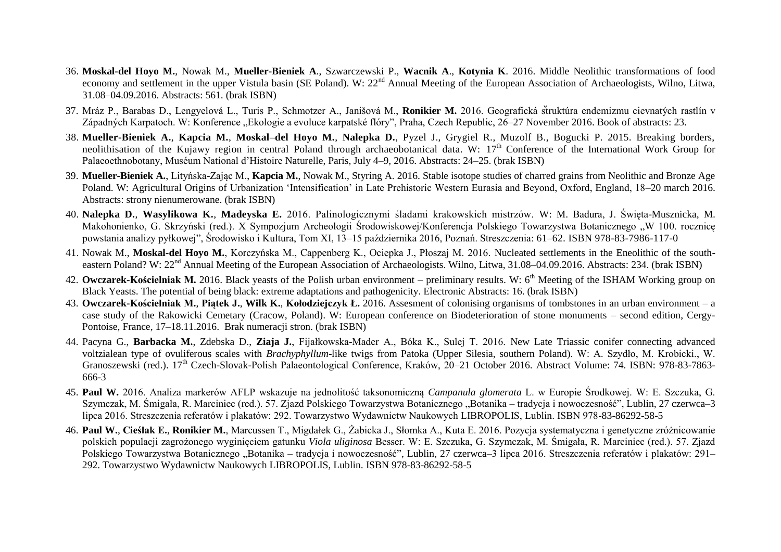- 36. **Moskal-del Hoyo M.**, Nowak M., **Mueller-Bieniek A**., Szwarczewski P., **Wacnik A**., **Kotynia K**. 2016. Middle Neolithic transformations of food economy and settlement in the upper Vistula basin (SE Poland). W: 22<sup>nd</sup> Annual Meeting of the European Association of Archaeologists, Wilno, Litwa, 31.08–04.09.2016. Abstracts: 561. (brak ISBN)
- 37. Mráz P., Barabas D., Lengyelová L., Turis P., Schmotzer A., Janišová M., **Ronikier M.** 2016. Geografická struktúra endemizmu cievnatých rastlín v Západných Karpatoch, W: Konference "Ekologie a evoluce karpatské flóry", Praha, Czech Republic, 26–27 November 2016. Book of abstracts: 23.
- 38. **Mueller-Bieniek A.**, **Kapcia M.**, **Moskal–del Hoyo M.**, **Nalepka D.**, Pyzel J., Grygiel R., Muzolf B., Bogucki P. 2015. Breaking borders, neolithisation of the Kujawy region in central Poland through archaeobotanical data. W: 17<sup>th</sup> Conference of the International Work Group for Palaeoethnobotany, Muséum National d'Histoire Naturelle, Paris, July 4–9, 2016. Abstracts: 24–25. (brak ISBN)
- 39. **Mueller-Bieniek A.**, Lityńska-Zając M., **Kapcia M.**, Nowak M., Styring A. 2016. Stable isotope studies of charred grains from Neolithic and Bronze Age Poland. W: Agricultural Origins of Urbanization 'Intensification' in Late Prehistoric Western Eurasia and Beyond, Oxford, England, 18–20 march 2016. Abstracts: strony nienumerowane. (brak ISBN)
- 40. **Nalepka D.**, **Wasylikowa K.**, **Madeyska E.** 2016. Palinologicznymi śladami krakowskich mistrzów. W: M. Badura, J. Święta-Musznicka, M. Makohonienko, G. Skrzyński (red.). X Sympozjum Archeologii Środowiskowej/Konferencja Polskiego Towarzystwa Botanicznego "W 100. rocznice powstania analizy pyłkowej", Środowisko i Kultura, Tom XI, 13–15 października 2016, Poznań. Streszczenia: 61–62. ISBN 978-83-7986-117-0
- 41. Nowak M., **Moskal-del Hoyo M.**, Korczyńska M., Cappenberg K., Ociepka J., Płoszaj M. 2016. Nucleated settlements in the Eneolithic of the southeastern Poland? W: 22<sup>nd</sup> Annual Meeting of the European Association of Archaeologists. Wilno, Litwa, 31.08–04.09.2016. Abstracts: 234. (brak ISBN)
- 42. **Owczarek-Kościelniak M.** 2016. Black yeasts of the Polish urban environment preliminary results. W: 6<sup>th</sup> Meeting of the ISHAM Working group on Black Yeasts. The potential of being black: extreme adaptations and pathogenicity. Electronic Abstracts: 16. (brak ISBN)
- 43. **Owczarek-Kościelniak M.**, **Piątek J.**, **Wilk K.**, **Kołodziejczyk Ł.** 2016. Assesment of colonising organisms of tombstones in an urban environment a case study of the Rakowicki Cemetary (Cracow, Poland). W: European conference on Biodeterioration of stone monuments – second edition, Cergy-Pontoise, France, 17–18.11.2016. Brak numeracji stron. (brak ISBN)
- 44. Pacyna G., **Barbacka M.**, Zdebska D., **Ziaja J.**, Fijałkowska-Mader A., Bóka K., Sulej T. 2016. New Late Triassic conifer connecting advanced voltzialean type of ovuliferous scales with *Brachyphyllum*-like twigs from Patoka (Upper Silesia, southern Poland). W: A. Szydło, M. Krobicki., W. Granoszewski (red.). 17<sup>th</sup> Czech-Slovak-Polish Palaeontological Conference, Kraków, 20–21 October 2016. Abstract Volume: 74. ISBN: 978-83-7863-666-3
- 45. **Paul W.** 2016. Analiza markerów AFLP wskazuje na jednolitość taksonomiczną *Campanula glomerata* L. w Europie Środkowej. W: E. Szczuka, G. Szymczak, M. Śmigała, R. Marciniec (red.). 57. Zjazd Polskiego Towarzystwa Botanicznego "Botanika – tradycja i nowoczesność", Lublin, 27 czerwca–3 lipca 2016. Streszczenia referatów i plakatów: 292. Towarzystwo Wydawnictw Naukowych LIBROPOLIS, Lublin. ISBN 978-83-86292-58-5
- 46. **Paul W.**, **Cieślak E.**, **Ronikier M.**, Marcussen T., Migdałek G., Żabicka J., Słomka A., Kuta E. 2016. Pozycja systematyczna i genetyczne zróżnicowanie polskich populacji zagrożonego wyginięciem gatunku *Viola uliginosa* Besser. W: E. Szczuka, G. Szymczak, M. Śmigała, R. Marciniec (red.). 57. Zjazd Polskiego Towarzystwa Botanicznego "Botanika – tradycja i nowoczesność", Lublin, 27 czerwca–3 lipca 2016. Streszczenia referatów i plakatów: 291– 292. Towarzystwo Wydawnictw Naukowych LIBROPOLIS, Lublin. ISBN 978-83-86292-58-5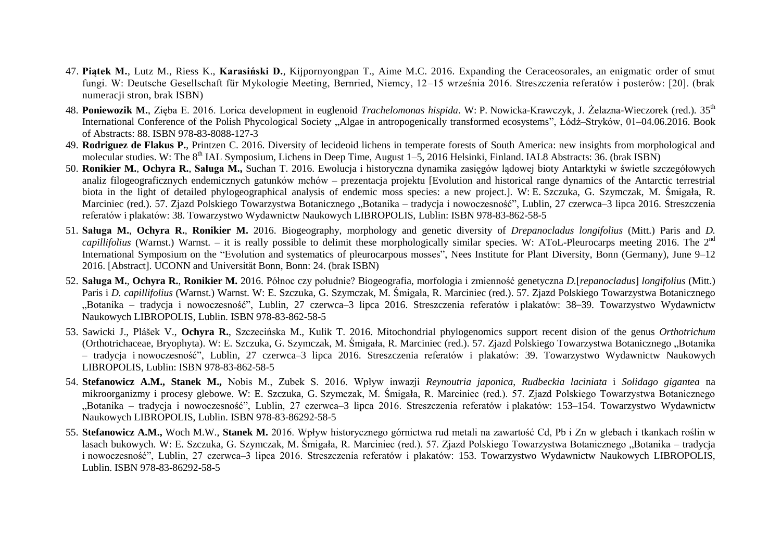- 47. **Piątek M.**, Lutz M., Riess K., **Karasiński D.**, Kijpornyongpan T., Aime M.C. 2016. Expanding the Ceraceosorales, an enigmatic order of smut fungi. W: Deutsche Gesellschaft für Mykologie Meeting, Bernried, Niemcy, 12–15 września 2016. Streszczenia referatów i posterów: [20]. (brak numeracji stron, brak ISBN)
- 48. **Poniewozik M.**, Zięba E. 2016. Lorica development in euglenoid *Trachelomonas hispida*. W: P. Nowicka-Krawczyk, J. Żelazna-Wieczorek (red.). 35th International Conference of the Polish Phycological Society "Algae in antropogenically transformed ecosystems", Łódź–Stryków, 01–04.06.2016. Book of Abstracts: 88. ISBN 978-83-8088-127-3
- 49. **Rodriguez de Flakus P.**, Printzen C. 2016. Diversity of lecideoid lichens in temperate forests of South America: new insights from morphological and molecular studies. W: The 8<sup>th</sup> IAL Symposium, Lichens in Deep Time, August 1–5, 2016 Helsinki, Finland. IAL8 Abstracts: 36. (brak ISBN)
- 50. **Ronikier M.**, **Ochyra R.**, **Saługa M.,** Suchan T. 2016. Ewolucja i historyczna dynamika zasięgów lądowej bioty Antarktyki w świetle szczegółowych analiz filogeograficznych endemicznych gatunków mchów – prezentacja projektu [Evolution and historical range dynamics of the Antarctic terrestrial biota in the light of detailed phylogeographical analysis of endemic moss species: a new project.]. W: E. Szczuka, G. Szymczak, M. Śmigała, R. Marciniec (red.). 57. Zjazd Polskiego Towarzystwa Botanicznego "Botanika – tradycja i nowoczesność", Lublin, 27 czerwca–3 lipca 2016. Streszczenia referatów i plakatów: 38. Towarzystwo Wydawnictw Naukowych LIBROPOLIS, Lublin: ISBN 978-83-862-58-5
- 51. **Saługa M.**, **Ochyra R.**, **Ronikier M.** 2016. Biogeography, morphology and genetic diversity of *Drepanocladus longifolius* (Mitt.) Paris and *D.* capillifolius (Warnst.) Warnst. – it is really possible to delimit these morphologically similar species. W: AToL-Pleurocarps meeting 2016. The 2<sup>nd</sup> International Symposium on the "Evolution and systematics of pleurocarpous mosses", Nees Institute for Plant Diversity, Bonn (Germany), June 9–12 2016. [Abstract]. UCONN and Universität Bonn, Bonn: 24. (brak ISBN)
- 52. **Saługa M.**, **Ochyra R.**, **Ronikier M.** 2016. Północ czy południe? Biogeografia, morfologia i zmienność genetyczna *D.*[*repanocladus*] *longifolius* (Mitt.) Paris i *D. capillifolius* (Warnst.) Warnst. W: E. Szczuka, G. Szymczak, M. Śmigała, R. Marciniec (red.). 57. Zjazd Polskiego Towarzystwa Botanicznego "Botanika – tradycja i nowoczesność", Lublin, 27 czerwca–3 lipca 2016. Streszczenia referatów i plakatów: 38–39. Towarzystwo Wydawnictw Naukowych LIBROPOLIS, Lublin. ISBN 978-83-862-58-5
- 53. Sawicki J., Plášek V., **Ochyra R.**, Szczecińska M., Kulik T. 2016. Mitochondrial phylogenomics support recent dision of the genus *Orthotrichum* (Orthotrichaceae, Bryophyta). W: E. Szczuka, G. Szymczak, M. Śmigała, R. Marciniec (red.). 57. Zjazd Polskiego Towarzystwa Botanicznego "Botanika – tradycja i nowoczesność", Lublin, 27 czerwca–3 lipca 2016. Streszczenia referatów i plakatów: 39. Towarzystwo Wydawnictw Naukowych LIBROPOLIS, Lublin: ISBN 978-83-862-58-5
- 54. **Stefanowicz A.M., Stanek M.,** Nobis M., Zubek S. 2016. Wpływ inwazji *Reynoutria japonica*, *Rudbeckia laciniata* i *Solidago gigantea* na mikroorganizmy i procesy glebowe. W: E. Szczuka, G. Szymczak, M. Śmigała, R. Marciniec (red.). 57. Zjazd Polskiego Towarzystwa Botanicznego "Botanika – tradycja i nowoczesność", Lublin, 27 czerwca–3 lipca 2016. Streszczenia referatów i plakatów: 153–154. Towarzystwo Wydawnictw Naukowych LIBROPOLIS, Lublin. ISBN 978-83-86292-58-5
- 55. **Stefanowicz A.M.,** Woch M.W., **Stanek M.** 2016. Wpływ historycznego górnictwa rud metali na zawartość Cd, Pb i Zn w glebach i tkankach roślin w lasach bukowych. W: E. Szczuka, G. Szymczak, M. Śmigała, R. Marciniec (red.). 57. Zjazd Polskiego Towarzystwa Botanicznego "Botanika – tradycja i nowoczesność", Lublin, 27 czerwca–3 lipca 2016. Streszczenia referatów i plakatów: 153. Towarzystwo Wydawnictw Naukowych LIBROPOLIS, Lublin. ISBN 978-83-86292-58-5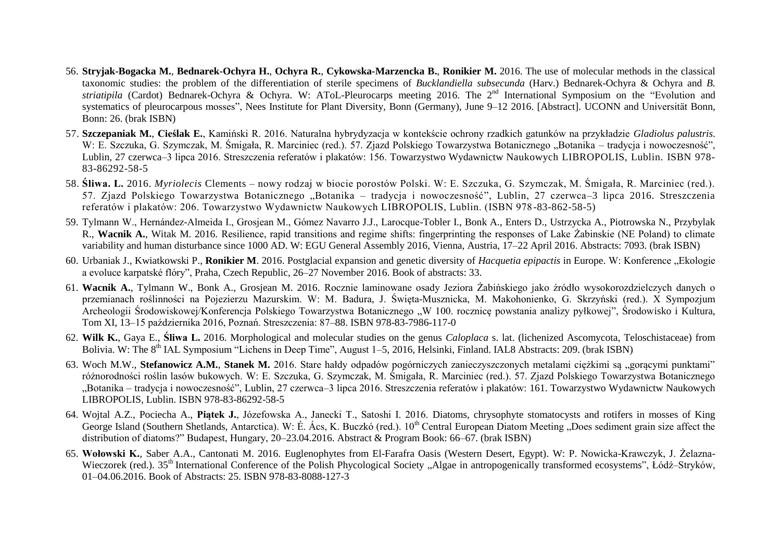- 56. **Stryjak-Bogacka M.**, **Bednarek-Ochyra H.**, **Ochyra R.**, **Cykowska-Marzencka B.**, **Ronikier M.** 2016. The use of molecular methods in the classical taxonomic studies: the problem of the differentiation of sterile specimens of *Bucklandiella subsecunda* (Harv.) Bednarek-Ochyra & Ochyra and *B.* striatipila (Cardot) Bednarek-Ochyra & Ochyra. W: AToL-Pleurocarps meeting 2016. The 2<sup>nd</sup> International Symposium on the "Evolution and systematics of pleurocarpous mosses". Nees Institute for Plant Diversity, Bonn (Germany), June 9–12 2016. [Abstract], UCONN and Universität Bonn, Bonn: 26. (brak ISBN)
- 57. **Szczepaniak M.**, **Cieślak E.**, Kamiński R. 2016. Naturalna hybrydyzacja w kontekście ochrony rzadkich gatunków na przykładzie *Gladiolus palustris*. W: E. Szczuka, G. Szymczak, M. Śmigała, R. Marciniec (red.). 57. Zjazd Polskiego Towarzystwa Botanicznego "Botanika – tradycja i nowoczesność". Lublin, 27 czerwca–3 lipca 2016. Streszczenia referatów i plakatów: 156. Towarzystwo Wydawnictw Naukowych LIBROPOLIS, Lublin. ISBN 978- 83-86292-58-5
- 58. **Śliwa. L.** 2016. *Myriolecis* Clements nowy rodzaj w biocie porostów Polski. W: E. Szczuka, G. Szymczak, M. Śmigała, R. Marciniec (red.). 57. Zjazd Polskiego Towarzystwa Botanicznego "Botanika – tradycja i nowoczesność", Lublin, 27 czerwca–3 lipca 2016. Streszczenia referatów i plakatów: 206. Towarzystwo Wydawnictw Naukowych LIBROPOLIS, Lublin. (ISBN 978-83-862-58-5)
- 59. Tylmann W., Hernández-Almeida I., Grosjean M., Gómez Navarro J.J., Larocque-Tobler I., Bonk A., Enters D., Ustrzycka A., Piotrowska N., Przybylak R., **Wacnik A.**, Witak M. 2016. Resilience, rapid transitions and regime shifts: fingerprinting the responses of Lake Żabinskie (NE Poland) to climate variability and human disturbance since 1000 AD. W: EGU General Assembly 2016, Vienna, Austria, 17–22 April 2016. Abstracts: 7093. (brak ISBN)
- 60. Urbaniak J., Kwiatkowski P., **Ronikier M**. 2016. Postglacial expansion and genetic diversity of *Hacquetia epipactis* in Europe. W: Konference "Ekologie a evoluce karpatské flóry", Praha, Czech Republic, 26–27 November 2016. Book of abstracts: 33.
- 61. **Wacnik A.**, Tylmann W., Bonk A., Grosjean M. 2016. Rocznie laminowane osady Jeziora Żabińskiego jako źródło wysokorozdzielczych danych o przemianach roślinności na Pojezierzu Mazurskim. W: M. Badura, J. Święta-Musznicka, M. Makohonienko, G. Skrzyński (red.). X Sympozjum Archeologii Środowiskowej/Konferencja Polskiego Towarzystwa Botanicznego "W 100. rocznicę powstania analizy pyłkowej", Środowisko i Kultura, Tom XI, 13–15 października 2016, Poznań. Streszczenia: 87–88. ISBN 978-83-7986-117-0
- 62. **Wilk K.**, Gaya E., **Śliwa L.** 2016. Morphological and molecular studies on the genus *Caloplaca* s. lat. (lichenized Ascomycota, Teloschistaceae) from Bolivia. W: The 8<sup>th</sup> IAL Symposium "Lichens in Deep Time", August 1–5, 2016, Helsinki, Finland, IAL8 Abstracts: 209. (brak ISBN)
- 63. Woch M.W., **Stefanowicz A.M., Stanek M.** 2016. Stare hałdy odpadów pogórniczych zanieczyszczonych metalami ciężkimi są "gorącymi punktami" różnorodności roślin lasów bukowych. W: E. Szczuka, G. Szymczak, M. Śmigała, R. Marciniec (red.). 57. Zjazd Polskiego Towarzystwa Botanicznego "Botanika – tradycja i nowoczesność", Lublin, 27 czerwca–3 lipca 2016. Streszczenia referatów i plakatów: 161. Towarzystwo Wydawnictw Naukowych LIBROPOLIS, Lublin. ISBN 978-83-86292-58-5
- 64. Wojtal A.Z., Pociecha A., **Piątek J.**, Józefowska A., Janecki T., Satoshi I. 2016. Diatoms, chrysophyte stomatocysts and rotifers in mosses of King George Island (Southern Shetlands, Antarctica). W: É. Ács, K. Buczkó (red.).  $10^{th}$  Central European Diatom Meeting "Does sediment grain size affect the distribution of diatoms?" Budapest, Hungary, 20–23.04.2016. Abstract & Program Book: 66–67. (brak ISBN)
- 65. **Wołowski K.**, Saber A.A., Cantonati M. 2016. Euglenophytes from El-Farafra Oasis (Western Desert, Egypt). W: P. Nowicka-Krawczyk, J. Żelazna-Wieczorek (red.). 35<sup>th</sup> International Conference of the Polish Phycological Society "Algae in antropogenically transformed ecosystems", Łódź–Stryków, 01–04.06.2016. Book of Abstracts: 25. ISBN 978-83-8088-127-3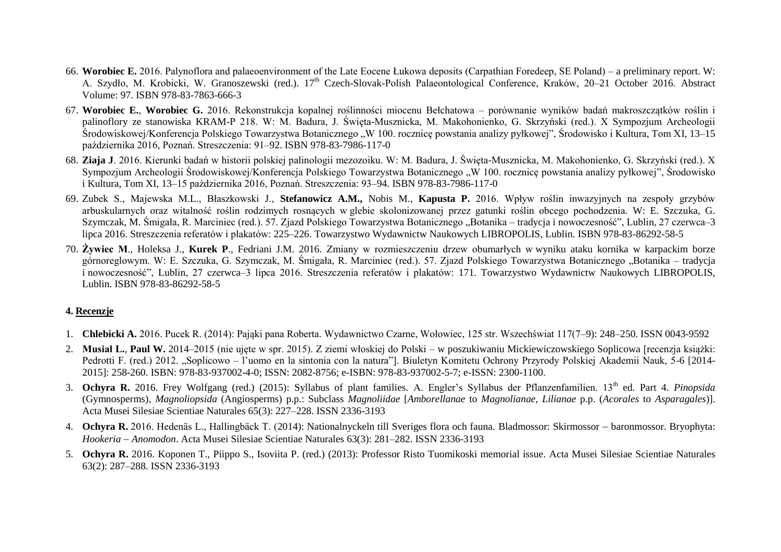- 66. **Worobiec E.** 2016. Palynoflora and palaeoenvironment of the Late Eocene Łukowa deposits (Carpathian Foredeep, SE Poland) a preliminary report. W: A. Szydło, M. Krobicki, W. Granoszewski (red.). 17<sup>th</sup> Czech-Slovak-Polish Palaeontological Conference, Kraków, 20–21 October 2016. Abstract Volume: 97. ISBN 978-83-7863-666-3
- 67. **Worobiec E.**, **Worobiec G.** 2016. Rekonstrukcja kopalnej roślinności miocenu Bełchatowa porównanie wyników badań makroszczątków roślin i palinoflory ze stanowiska KRAM-P 218. W: M. Badura, J. Święta-Musznicka, M. Makohonienko, G. Skrzyński (red.). X Sympozjum Archeologii Środowiskowej/Konferencja Polskiego Towarzystwa Botanicznego "W 100. rocznice powstania analizy pyłkowej", Środowisko i Kultura, Tom XI, 13–15 października 2016, Poznań. Streszczenia: 91–92. ISBN 978-83-7986-117-0
- 68. **Ziaja J**. 2016. Kierunki badań w historii polskiej palinologii mezozoiku. W: M. Badura, J. Święta-Musznicka, M. Makohonienko, G. Skrzyński (red.). X Sympozjum Archeologii Środowiskowej/Konferencja Polskiego Towarzystwa Botanicznego "W 100. rocznice powstania analizy pyłkowej", Środowisko i Kultura, Tom XI, 13–15 października 2016, Poznań. Streszczenia: 93–94. ISBN 978-83-7986-117-0
- 69. Zubek S., Majewska M.L., Błaszkowski J., **Stefanowicz A.M.,** Nobis M., **Kapusta P.** 2016. Wpływ roślin inwazyjnych na zespoły grzybów arbuskularnych oraz witalność roślin rodzimych rosnących w glebie skolonizowanej przez gatunki roślin obcego pochodzenia. W: E. Szczuka, G. Szymczak, M. Śmigała, R. Marciniec (red.). 57. Zjazd Polskiego Towarzystwa Botanicznego "Botanika – tradycja i nowoczesność", Lublin, 27 czerwca–3 lipca 2016. Streszczenia referatów i plakatów: 225–226. Towarzystwo Wydawnictw Naukowych LIBROPOLIS, Lublin. ISBN 978-83-86292-58-5
- 70. **Żywiec M**., Holeksa J., **Kurek P**., Fedriani J.M. 2016. Zmiany w rozmieszczeniu drzew obumarłych w wyniku ataku kornika w karpackim borze górnoreglowym. W: E. Szczuka, G. Szymczak, M. Śmigała, R. Marciniec (red.). 57. Zjazd Polskiego Towarzystwa Botanicznego "Botanika – tradycja i nowoczesność", Lublin, 27 czerwca–3 lipca 2016. Streszczenia referatów i plakatów: 171. Towarzystwo Wydawnictw Naukowych LIBROPOLIS, Lublin. ISBN 978-83-86292-58-5

## **4. Recenzje**

- 1. **Chlebicki A.** 2016. Pucek R. (2014): Pająki pana Roberta. Wydawnictwo Czarne, Wołowiec, 125 str. Wszechświat 117(7–9): 248–250. ISSN 0043-9592
- 2. **Musiał L.**, **Paul W.** 2014–2015 (nie ujęte w spr. 2015). Z ziemi włoskiej do Polski w poszukiwaniu Mickiewiczowskiego Soplicowa [recenzja książki: Pedrotti F. (red.) 2012. "Soplicowo – l'uomo en la sintonia con la natura"]. Biuletyn Komitetu Ochrony Przyrody Polskiej Akademii Nauk, 5-6 [2014-2015]: 258-260. ISBN: 978-83-937002-4-0; ISSN: 2082-8756; e-ISBN: 978-83-937002-5-7; e-ISSN: 2300-1100.
- 3. Ochyra R. 2016. Frey Wolfgang (red.) (2015): Syllabus of plant families. A. Engler's Syllabus der Pflanzenfamilien. 13<sup>th</sup> ed. Part 4. *Pinopsida* (Gymnosperms), *Magnoliopsida* (Angiosperms) p.p.: Subclass *Magnoliidae* [*Amborellanae* to *Magnolianae*, *Lilianae* p.p. (*Acorales* to *Asparagales*)]. Acta Musei Silesiae Scientiae Naturales 65(3): 227–228. ISSN 2336-3193
- 4. **Ochyra R.** 2016. Hedenäs L., Hallingbäck T. (2014): Nationalnyckeln till Sveriges flora och fauna. Bladmossor: Skirmossor baronmossor. Bryophyta: *Hookeria Anomodon*. Acta Musei Silesiae Scientiae Naturales 63(3): 281–282. ISSN 2336-3193
- 5. **Ochyra R.** 2016. Koponen T., Piippo S., Isoviita P. (red.) (2013): Professor Risto Tuomikoski memorial issue. Acta Musei Silesiae Scientiae Naturales 63(2): 287–288. ISSN 2336-3193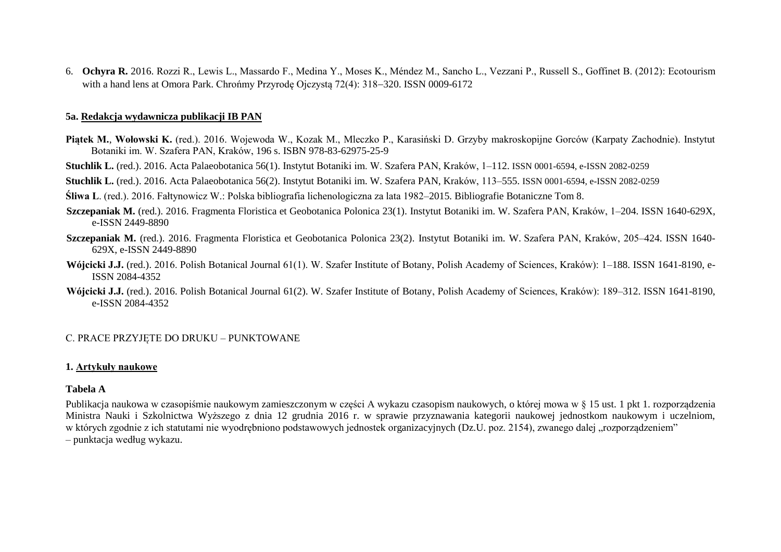6. **Ochyra R.** 2016. Rozzi R., Lewis L., Massardo F., Medina Y., Moses K., Méndez M., Sancho L., Vezzani P., Russell S., Goffinet B. (2012): Ecotourism with a hand lens at Omora Park. Chrońmy Przyrodę Ojczystą 72(4): 318–320. ISSN 0009-6172

#### **5a. Redakcja wydawnicza publikacji IB PAN**

**Piątek M.**, **Wołowski K.** (red.). 2016. Wojewoda W., Kozak M., Mleczko P., Karasiński D. Grzyby makroskopijne Gorców (Karpaty Zachodnie). Instytut Botaniki im. W. Szafera PAN, Kraków, 196 s. ISBN 978-83-62975-25-9

**Stuchlik L.** (red.). 2016. Acta Palaeobotanica 56(1). Instytut Botaniki im. W. Szafera PAN, Kraków, 1–112. ISSN 0001-6594, e-ISSN 2082-0259

**Stuchlik L.** (red.). 2016. Acta Palaeobotanica 56(2). Instytut Botaniki im. W. Szafera PAN, Kraków, 113–555. ISSN 0001-6594, e-ISSN 2082-0259

**Śliwa L**. (red.). 2016. Fałtynowicz W.: Polska bibliografia lichenologiczna za lata 1982–2015. Bibliografie Botaniczne Tom 8.

- **Szczepaniak M.** (red.). 2016. Fragmenta Floristica et Geobotanica Polonica 23(1). Instytut Botaniki im. W. Szafera PAN, Kraków, 1–204. ISSN 1640-629X, e-ISSN 2449-8890
- **Szczepaniak M.** (red.). 2016. Fragmenta Floristica et Geobotanica Polonica 23(2). Instytut Botaniki im. W. Szafera PAN, Kraków, 205–424. ISSN 1640- 629X, e-ISSN 2449-8890
- **Wójcicki J.J.** (red.). 2016. Polish Botanical Journal 61(1). W. Szafer Institute of Botany, Polish Academy of Sciences, Kraków): 1–188. ISSN 1641-8190, e-ISSN 2084-4352
- **Wójcicki J.J.** (red.). 2016. Polish Botanical Journal 61(2). W. Szafer Institute of Botany, Polish Academy of Sciences, Kraków): 189–312. ISSN 1641-8190, e-ISSN 2084-4352

## C. PRACE PRZYJĘTE DO DRUKU – PUNKTOWANE

## **1. Artykuły naukowe**

## **Tabela A**

Publikacja naukowa w czasopiśmie naukowym zamieszczonym w części A wykazu czasopism naukowych, o której mowa w § 15 ust. 1 pkt 1. rozporządzenia Ministra Nauki i Szkolnictwa Wyższego z dnia 12 grudnia 2016 r. w sprawie przyznawania kategorii naukowej jednostkom naukowym i uczelniom, w których zgodnie z ich statutami nie wyodrębniono podstawowych jednostek organizacyjnych (Dz.U. poz. 2154), zwanego dalej "rozporządzeniem" – punktacja według wykazu.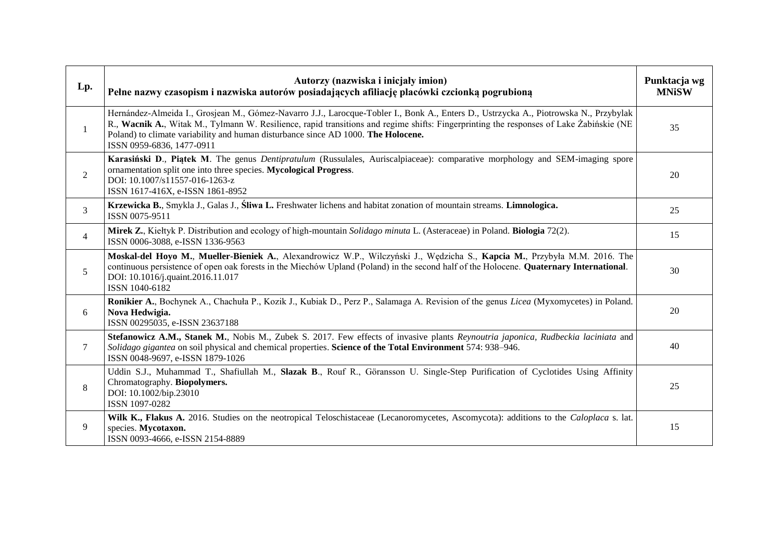| Lp.            | Autorzy (nazwiska i inicjały imion)<br>Pełne nazwy czasopism i nazwiska autorów posiadających afiliację placówki czcionką pogrubioną                                                                                                                                                                                                                                                               | Punktacja wg<br><b>MNiSW</b> |
|----------------|----------------------------------------------------------------------------------------------------------------------------------------------------------------------------------------------------------------------------------------------------------------------------------------------------------------------------------------------------------------------------------------------------|------------------------------|
| $\mathbf{1}$   | Hernández-Almeida I., Grosjean M., Gómez-Navarro J.J., Larocque-Tobler I., Bonk A., Enters D., Ustrzycka A., Piotrowska N., Przybylak<br>R., Wacnik A., Witak M., Tylmann W. Resilience, rapid transitions and regime shifts: Fingerprinting the responses of Lake Żabińskie (NE<br>Poland) to climate variability and human disturbance since AD 1000. The Holocene.<br>ISSN 0959-6836, 1477-0911 | 35                           |
| $\overline{2}$ | Karasiński D., Piątek M. The genus Dentipratulum (Russulales, Auriscalpiaceae): comparative morphology and SEM-imaging spore<br>ornamentation split one into three species. Mycological Progress.<br>DOI: 10.1007/s11557-016-1263-z<br>ISSN 1617-416X, e-ISSN 1861-8952                                                                                                                            | 20                           |
| 3              | Krzewicka B., Smykla J., Galas J., Śliwa L. Freshwater lichens and habitat zonation of mountain streams. Limnologica.<br>ISSN 0075-9511                                                                                                                                                                                                                                                            | 25                           |
| $\overline{4}$ | Mirek Z., Kiełtyk P. Distribution and ecology of high-mountain Solidago minuta L. (Asteraceae) in Poland. Biologia 72(2).<br>ISSN 0006-3088, e-ISSN 1336-9563                                                                                                                                                                                                                                      | 15                           |
| 5              | Moskal-del Hoyo M., Mueller-Bieniek A., Alexandrowicz W.P., Wilczyński J., Wędzicha S., Kapcia M., Przybyła M.M. 2016. The<br>continuous persistence of open oak forests in the Miechów Upland (Poland) in the second half of the Holocene. Quaternary International.<br>DOI: 10.1016/j.quaint.2016.11.017<br>ISSN 1040-6182                                                                       | 30                           |
| 6              | Ronikier A., Bochynek A., Chachuła P., Kozik J., Kubiak D., Perz P., Salamaga A. Revision of the genus Licea (Myxomycetes) in Poland.<br>Nova Hedwigia.<br>ISSN 00295035, e-ISSN 23637188                                                                                                                                                                                                          | 20                           |
| 7              | Stefanowicz A.M., Stanek M., Nobis M., Zubek S. 2017. Few effects of invasive plants Reynoutria japonica, Rudbeckia laciniata and<br>Solidago gigantea on soil physical and chemical properties. Science of the Total Environment 574: 938–946.<br>ISSN 0048-9697, e-ISSN 1879-1026                                                                                                                | 40                           |
| $\,8\,$        | Uddin S.J., Muhammad T., Shafiullah M., Slazak B., Rouf R., Göransson U. Single-Step Purification of Cyclotides Using Affinity<br>Chromatography. Biopolymers.<br>DOI: 10.1002/bip.23010<br>ISSN 1097-0282                                                                                                                                                                                         | 25                           |
| 9              | Wilk K., Flakus A. 2016. Studies on the neotropical Teloschistaceae (Lecanoromycetes, Ascomycota): additions to the <i>Caloplaca</i> s. lat.<br>species. Mycotaxon.<br>ISSN 0093-4666, e-ISSN 2154-8889                                                                                                                                                                                            | 15                           |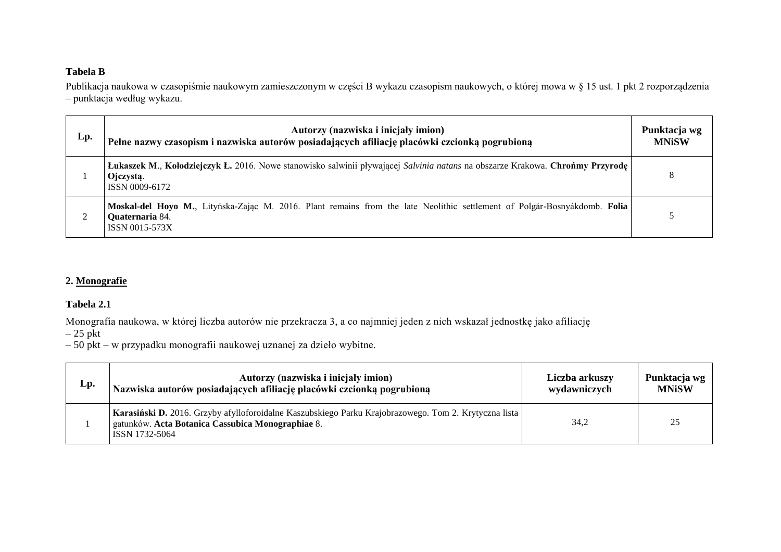# **Tabela B**

Publikacja naukowa w czasopiśmie naukowym zamieszczonym w części B wykazu czasopism naukowych, o której mowa w § 15 ust. 1 pkt 2 rozporządzenia – punktacja według wykazu.

| Lp. | Autorzy (nazwiska i inicjały imion)<br>Pełne nazwy czasopism i nazwiska autorów posiadających afiliację placówki czcionką pogrubioną                                  | Punktacja wg<br><b>MNiSW</b> |
|-----|-----------------------------------------------------------------------------------------------------------------------------------------------------------------------|------------------------------|
|     | Łukaszek M., Kołodziejczyk Ł. 2016. Nowe stanowisko salwinii pływającej Salvinia natans na obszarze Krakowa. Chrońmy Przyrodę  <br>Ojczystą.<br>ISSN 0009-6172        | 8                            |
|     | Moskal-del Hoyo M., Lityńska-Zając M. 2016. Plant remains from the late Neolithic settlement of Polgár-Bosnyákdomb. Folia<br>Quaternaria 84.<br><b>ISSN 0015-573X</b> |                              |

## **2. Monografie**

#### **Tabela 2.1**

Monografia naukowa, w której liczba autorów nie przekracza 3, a co najmniej jeden z nich wskazał jednostkę jako afiliację

 $-25$  pkt

 $\mathbf{r}$ 

– 50 pkt – w przypadku monografii naukowej uznanej za dzieło wybitne.

| Lp. | Autorzy (nazwiska i inicjały imion)                                                                                                                                          | Liczba arkuszy | Punktacja wg |
|-----|------------------------------------------------------------------------------------------------------------------------------------------------------------------------------|----------------|--------------|
|     | Nazwiska autorów posiadających afiliację placówki czcionką pogrubioną                                                                                                        | wydawniczych   | <b>MNiSW</b> |
|     | Karasiński D. 2016. Grzyby afylloforoidalne Kaszubskiego Parku Krajobrazowego. Tom 2. Krytyczna lista<br>gatunków. Acta Botanica Cassubica Monographiae 8.<br>ISSN 1732-5064 | 34,2           | 25           |